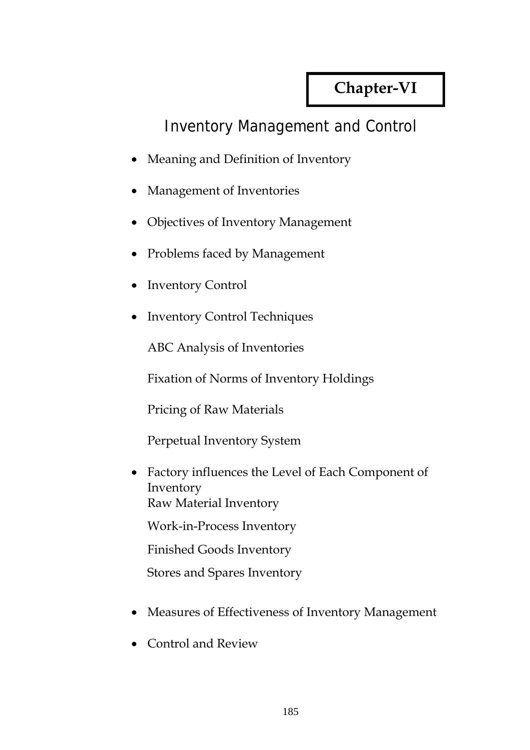# **Chapter-VI**

## Inventory Management and Control

- Meaning and Definition of Inventory
- Management of Inventories
- Objectives of Inventory Management
- Problems faced by Management
- Inventory Control
- Inventory Control Techniques

ABC Analysis of Inventories

Fixation of Norms of Inventory Holdings

Pricing of Raw Materials

Perpetual Inventory System

• Factory influences the Level of Each Component of Inventory Raw Material Inventory

Work-in-Process Inventory

Finished Goods Inventory

Stores and Spares Inventory

- Measures of Effectiveness of Inventory Management
- Control and Review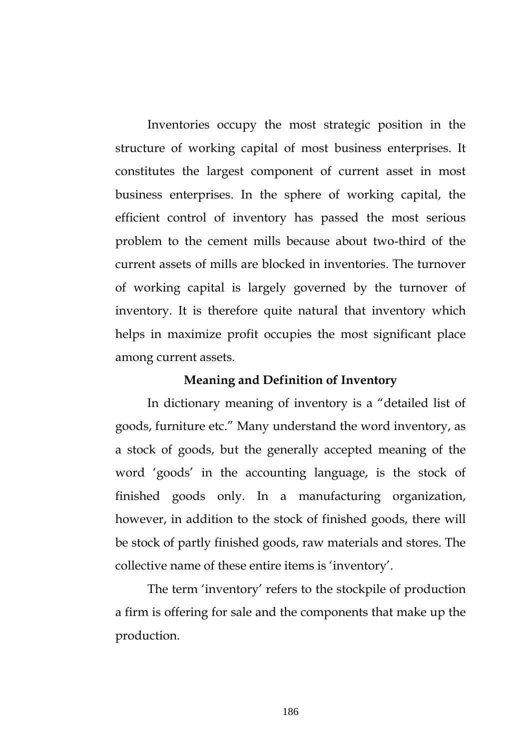Inventories occupy the most strategic position in the structure of working capital of most business enterprises. It constitutes the largest component of current asset in most business enterprises. In the sphere of working capital, the efficient control of inventory has passed the most serious problem to the cement mills because about two-third of the current assets of mills are blocked in inventories. The turnover of working capital is largely governed by the turnover of inventory. It is therefore quite natural that inventory which helps in maximize profit occupies the most significant place among current assets.

#### **Meaning and Definition of Inventory**

 In dictionary meaning of inventory is a "detailed list of goods, furniture etc." Many understand the word inventory, as a stock of goods, but the generally accepted meaning of the word 'goods' in the accounting language, is the stock of finished goods only. In a manufacturing organization, however, in addition to the stock of finished goods, there will be stock of partly finished goods, raw materials and stores. The collective name of these entire items is 'inventory'.

 The term 'inventory' refers to the stockpile of production a firm is offering for sale and the components that make up the production.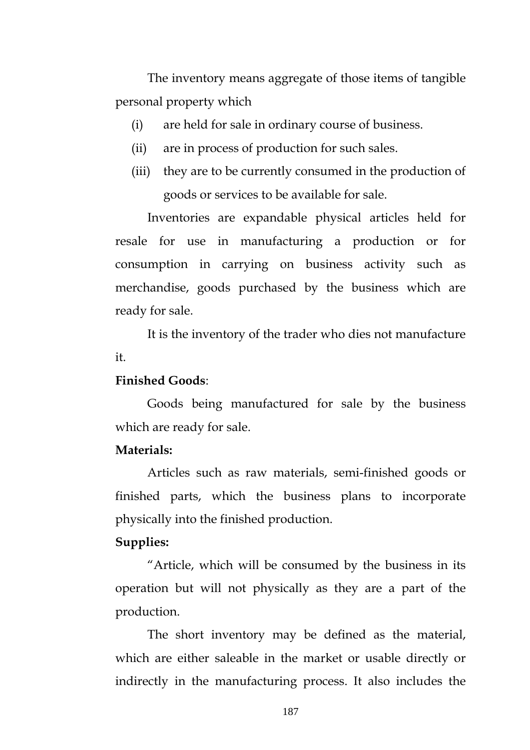The inventory means aggregate of those items of tangible personal property which

- (i) are held for sale in ordinary course of business.
- (ii) are in process of production for such sales.
- (iii) they are to be currently consumed in the production of goods or services to be available for sale.

Inventories are expandable physical articles held for resale for use in manufacturing a production or for consumption in carrying on business activity such as merchandise, goods purchased by the business which are ready for sale.

It is the inventory of the trader who dies not manufacture it.

#### **Finished Goods**:

Goods being manufactured for sale by the business which are ready for sale.

## **Materials:**

 Articles such as raw materials, semi-finished goods or finished parts, which the business plans to incorporate physically into the finished production.

#### **Supplies:**

 "Article, which will be consumed by the business in its operation but will not physically as they are a part of the production.

 The short inventory may be defined as the material, which are either saleable in the market or usable directly or indirectly in the manufacturing process. It also includes the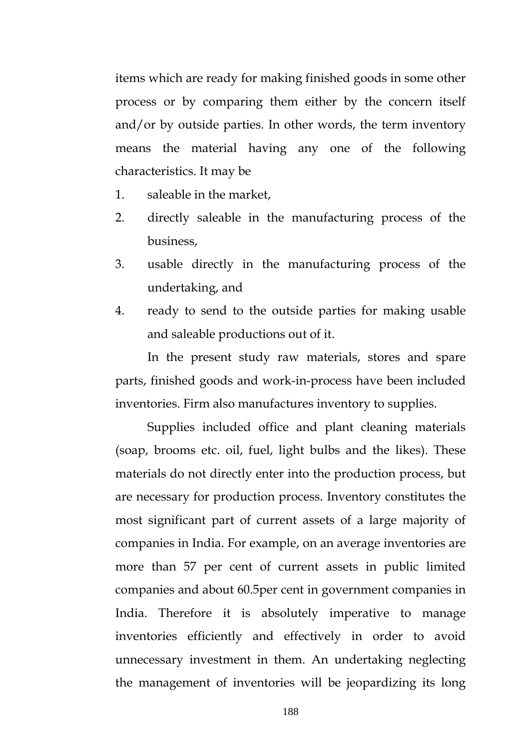items which are ready for making finished goods in some other process or by comparing them either by the concern itself and/or by outside parties. In other words, the term inventory means the material having any one of the following characteristics. It may be

- 1. saleable in the market,
- 2. directly saleable in the manufacturing process of the business,
- 3. usable directly in the manufacturing process of the undertaking, and
- 4. ready to send to the outside parties for making usable and saleable productions out of it.

In the present study raw materials, stores and spare parts, finished goods and work-in-process have been included inventories. Firm also manufactures inventory to supplies.

Supplies included office and plant cleaning materials (soap, brooms etc. oil, fuel, light bulbs and the likes). These materials do not directly enter into the production process, but are necessary for production process. Inventory constitutes the most significant part of current assets of a large majority of companies in India. For example, on an average inventories are more than 57 per cent of current assets in public limited companies and about 60.5per cent in government companies in India. Therefore it is absolutely imperative to manage inventories efficiently and effectively in order to avoid unnecessary investment in them. An undertaking neglecting the management of inventories will be jeopardizing its long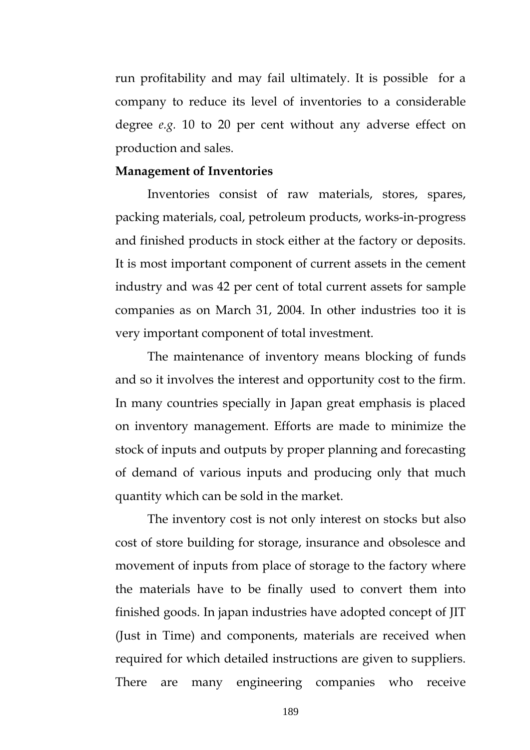run profitability and may fail ultimately. It is possible for a company to reduce its level of inventories to a considerable degree *e.g.* 10 to 20 per cent without any adverse effect on production and sales.

#### **Management of Inventories**

 Inventories consist of raw materials, stores, spares, packing materials, coal, petroleum products, works-in-progress and finished products in stock either at the factory or deposits. It is most important component of current assets in the cement industry and was 42 per cent of total current assets for sample companies as on March 31, 2004. In other industries too it is very important component of total investment.

 The maintenance of inventory means blocking of funds and so it involves the interest and opportunity cost to the firm. In many countries specially in Japan great emphasis is placed on inventory management. Efforts are made to minimize the stock of inputs and outputs by proper planning and forecasting of demand of various inputs and producing only that much quantity which can be sold in the market.

 The inventory cost is not only interest on stocks but also cost of store building for storage, insurance and obsolesce and movement of inputs from place of storage to the factory where the materials have to be finally used to convert them into finished goods. In japan industries have adopted concept of JIT (Just in Time) and components, materials are received when required for which detailed instructions are given to suppliers. There are many engineering companies who receive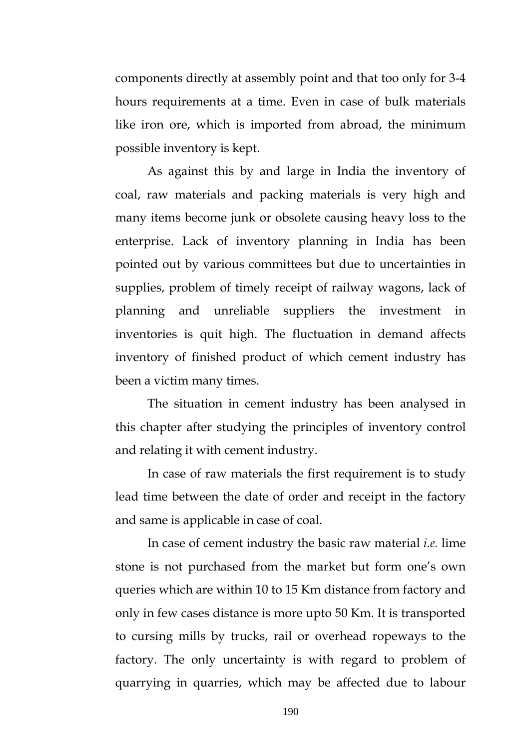components directly at assembly point and that too only for 3-4 hours requirements at a time. Even in case of bulk materials like iron ore, which is imported from abroad, the minimum possible inventory is kept.

As against this by and large in India the inventory of coal, raw materials and packing materials is very high and many items become junk or obsolete causing heavy loss to the enterprise. Lack of inventory planning in India has been pointed out by various committees but due to uncertainties in supplies, problem of timely receipt of railway wagons, lack of planning and unreliable suppliers the investment in inventories is quit high. The fluctuation in demand affects inventory of finished product of which cement industry has been a victim many times.

The situation in cement industry has been analysed in this chapter after studying the principles of inventory control and relating it with cement industry.

In case of raw materials the first requirement is to study lead time between the date of order and receipt in the factory and same is applicable in case of coal.

In case of cement industry the basic raw material *i.e.* lime stone is not purchased from the market but form one's own queries which are within 10 to 15 Km distance from factory and only in few cases distance is more upto 50 Km. It is transported to cursing mills by trucks, rail or overhead ropeways to the factory. The only uncertainty is with regard to problem of quarrying in quarries, which may be affected due to labour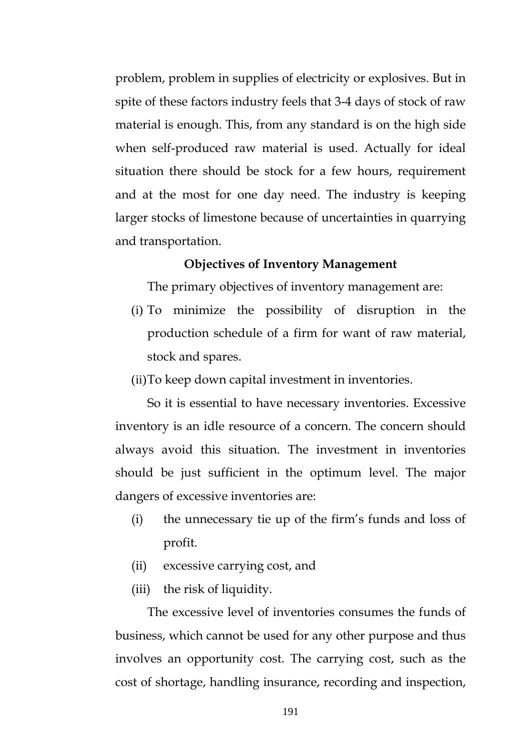problem, problem in supplies of electricity or explosives. But in spite of these factors industry feels that 3-4 days of stock of raw material is enough. This, from any standard is on the high side when self-produced raw material is used. Actually for ideal situation there should be stock for a few hours, requirement and at the most for one day need. The industry is keeping larger stocks of limestone because of uncertainties in quarrying and transportation.

#### **Objectives of Inventory Management**

The primary objectives of inventory management are:

- (i) To minimize the possibility of disruption in the production schedule of a firm for want of raw material, stock and spares.
- (ii)To keep down capital investment in inventories.

So it is essential to have necessary inventories. Excessive inventory is an idle resource of a concern. The concern should always avoid this situation. The investment in inventories should be just sufficient in the optimum level. The major dangers of excessive inventories are:

- (i) the unnecessary tie up of the firm's funds and loss of profit.
- (ii) excessive carrying cost, and
- (iii) the risk of liquidity.

The excessive level of inventories consumes the funds of business, which cannot be used for any other purpose and thus involves an opportunity cost. The carrying cost, such as the cost of shortage, handling insurance, recording and inspection,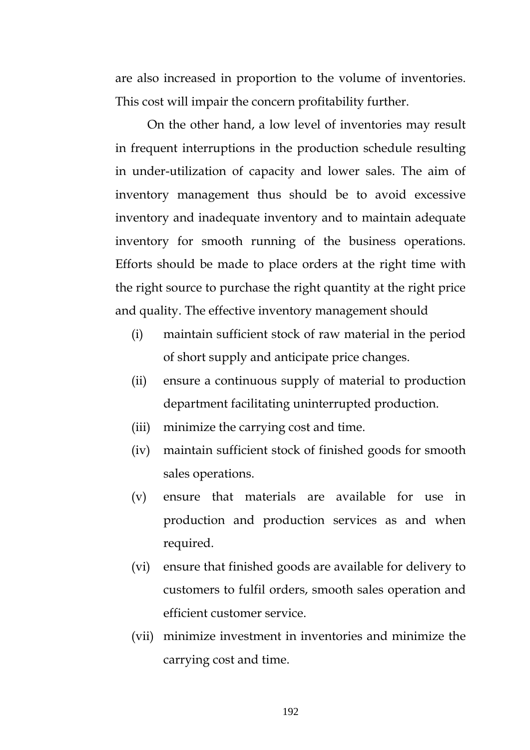are also increased in proportion to the volume of inventories. This cost will impair the concern profitability further.

 On the other hand, a low level of inventories may result in frequent interruptions in the production schedule resulting in under-utilization of capacity and lower sales. The aim of inventory management thus should be to avoid excessive inventory and inadequate inventory and to maintain adequate inventory for smooth running of the business operations. Efforts should be made to place orders at the right time with the right source to purchase the right quantity at the right price and quality. The effective inventory management should

- (i) maintain sufficient stock of raw material in the period of short supply and anticipate price changes.
- (ii) ensure a continuous supply of material to production department facilitating uninterrupted production.
- (iii) minimize the carrying cost and time.
- (iv) maintain sufficient stock of finished goods for smooth sales operations.
- (v) ensure that materials are available for use in production and production services as and when required.
- (vi) ensure that finished goods are available for delivery to customers to fulfil orders, smooth sales operation and efficient customer service.
- (vii) minimize investment in inventories and minimize the carrying cost and time.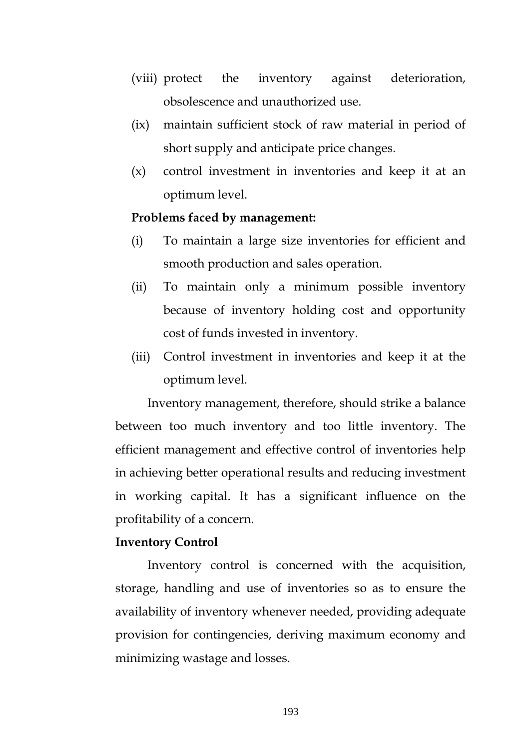- (viii) protect the inventory against deterioration, obsolescence and unauthorized use.
- (ix) maintain sufficient stock of raw material in period of short supply and anticipate price changes.
- (x) control investment in inventories and keep it at an optimum level.

#### **Problems faced by management:**

- (i) To maintain a large size inventories for efficient and smooth production and sales operation.
- (ii) To maintain only a minimum possible inventory because of inventory holding cost and opportunity cost of funds invested in inventory.
- (iii) Control investment in inventories and keep it at the optimum level.

Inventory management, therefore, should strike a balance between too much inventory and too little inventory. The efficient management and effective control of inventories help in achieving better operational results and reducing investment in working capital. It has a significant influence on the profitability of a concern.

#### **Inventory Control**

 Inventory control is concerned with the acquisition, storage, handling and use of inventories so as to ensure the availability of inventory whenever needed, providing adequate provision for contingencies, deriving maximum economy and minimizing wastage and losses.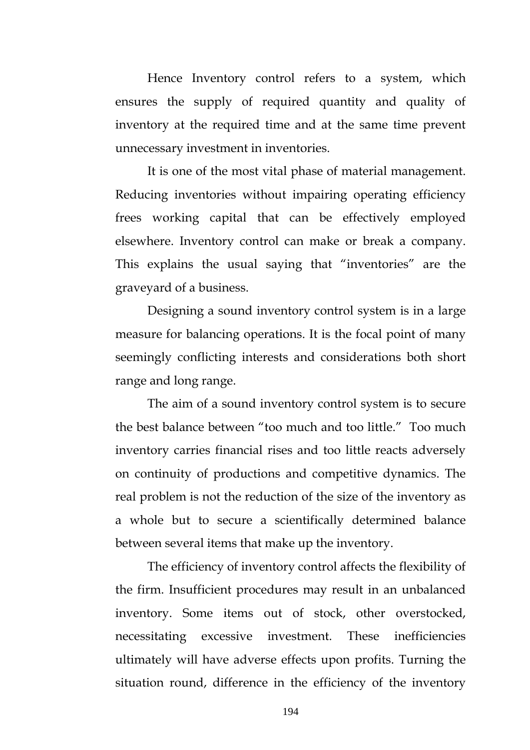Hence Inventory control refers to a system, which ensures the supply of required quantity and quality of inventory at the required time and at the same time prevent unnecessary investment in inventories.

 It is one of the most vital phase of material management. Reducing inventories without impairing operating efficiency frees working capital that can be effectively employed elsewhere. Inventory control can make or break a company. This explains the usual saying that "inventories" are the graveyard of a business.

 Designing a sound inventory control system is in a large measure for balancing operations. It is the focal point of many seemingly conflicting interests and considerations both short range and long range.

 The aim of a sound inventory control system is to secure the best balance between "too much and too little." Too much inventory carries financial rises and too little reacts adversely on continuity of productions and competitive dynamics. The real problem is not the reduction of the size of the inventory as a whole but to secure a scientifically determined balance between several items that make up the inventory.

 The efficiency of inventory control affects the flexibility of the firm. Insufficient procedures may result in an unbalanced inventory. Some items out of stock, other overstocked, necessitating excessive investment. These inefficiencies ultimately will have adverse effects upon profits. Turning the situation round, difference in the efficiency of the inventory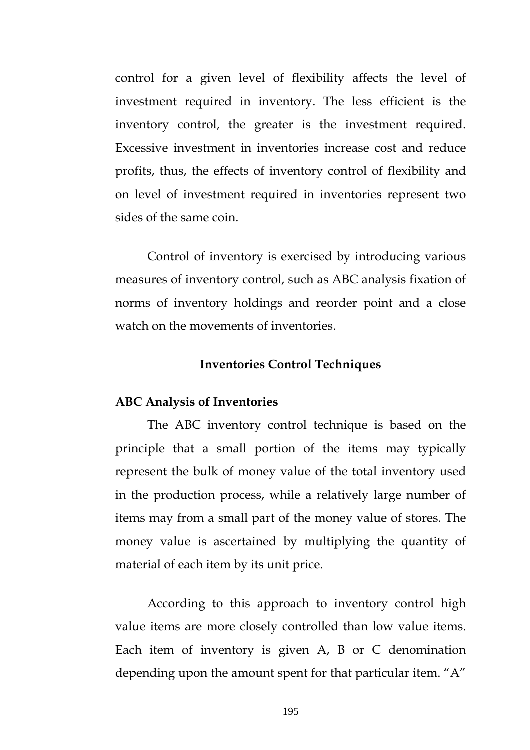control for a given level of flexibility affects the level of investment required in inventory. The less efficient is the inventory control, the greater is the investment required. Excessive investment in inventories increase cost and reduce profits, thus, the effects of inventory control of flexibility and on level of investment required in inventories represent two sides of the same coin.

 Control of inventory is exercised by introducing various measures of inventory control, such as ABC analysis fixation of norms of inventory holdings and reorder point and a close watch on the movements of inventories.

#### **Inventories Control Techniques**

#### **ABC Analysis of Inventories**

 The ABC inventory control technique is based on the principle that a small portion of the items may typically represent the bulk of money value of the total inventory used in the production process, while a relatively large number of items may from a small part of the money value of stores. The money value is ascertained by multiplying the quantity of material of each item by its unit price.

 According to this approach to inventory control high value items are more closely controlled than low value items. Each item of inventory is given A, B or C denomination depending upon the amount spent for that particular item. "A"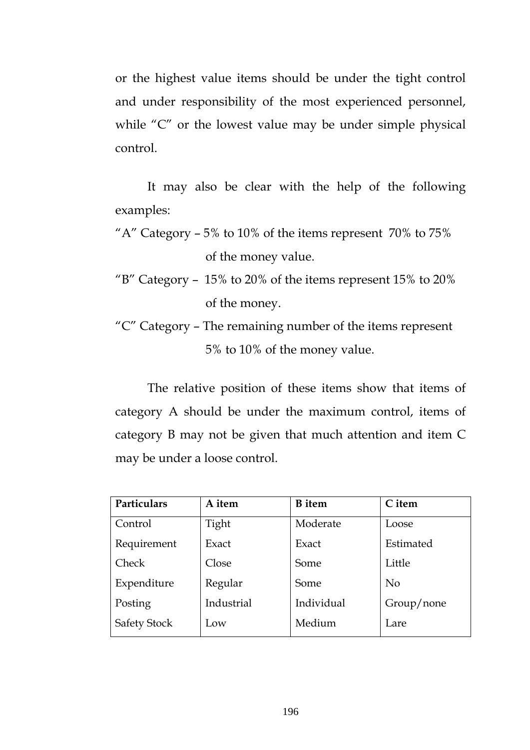or the highest value items should be under the tight control and under responsibility of the most experienced personnel, while "C" or the lowest value may be under simple physical control.

 It may also be clear with the help of the following examples:

- "A" Category  $-5\%$  to 10% of the items represent 70% to 75% of the money value.
- "B" Category 15% to 20% of the items represent 15% to 20% of the money.
- "C" Category The remaining number of the items represent 5% to 10% of the money value.

The relative position of these items show that items of category A should be under the maximum control, items of category B may not be given that much attention and item C may be under a loose control.

| Particulars         | A item     | <b>B</b> item | C item     |
|---------------------|------------|---------------|------------|
| Control             | Tight      | Moderate      | Loose      |
| Requirement         | Exact      | Exact         | Estimated  |
| Check               | Close      | Some          | Little     |
| Expenditure         | Regular    | Some          | $\rm No$   |
| Posting             | Industrial | Individual    | Group/none |
| <b>Safety Stock</b> | Low        | Medium        | Lare       |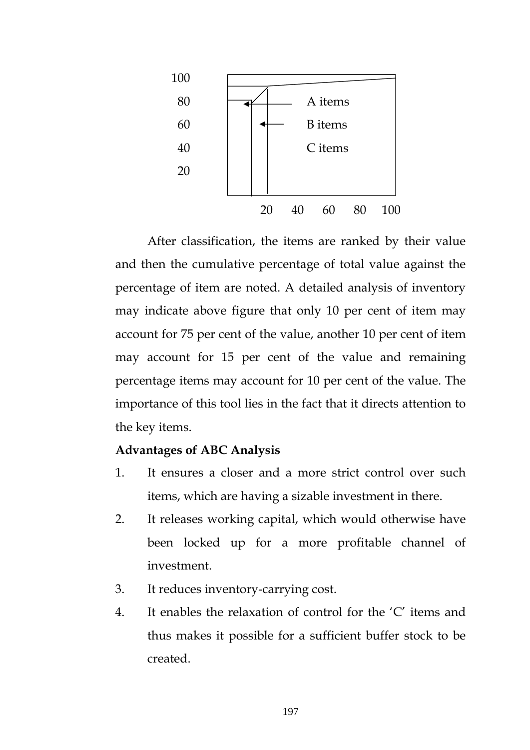

After classification, the items are ranked by their value and then the cumulative percentage of total value against the percentage of item are noted. A detailed analysis of inventory may indicate above figure that only 10 per cent of item may account for 75 per cent of the value, another 10 per cent of item may account for 15 per cent of the value and remaining percentage items may account for 10 per cent of the value. The importance of this tool lies in the fact that it directs attention to the key items.

## **Advantages of ABC Analysis**

- 1. It ensures a closer and a more strict control over such items, which are having a sizable investment in there.
- 2. It releases working capital, which would otherwise have been locked up for a more profitable channel of investment.
- 3. It reduces inventory-carrying cost.
- 4. It enables the relaxation of control for the 'C' items and thus makes it possible for a sufficient buffer stock to be created.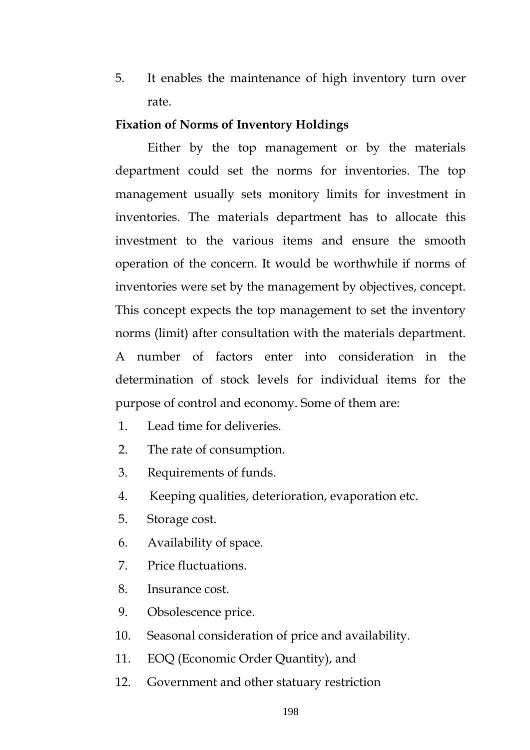5. It enables the maintenance of high inventory turn over rate.

#### **Fixation of Norms of Inventory Holdings**

Either by the top management or by the materials department could set the norms for inventories. The top management usually sets monitory limits for investment in inventories. The materials department has to allocate this investment to the various items and ensure the smooth operation of the concern. It would be worthwhile if norms of inventories were set by the management by objectives, concept. This concept expects the top management to set the inventory norms (limit) after consultation with the materials department. A number of factors enter into consideration in the determination of stock levels for individual items for the purpose of control and economy. Some of them are:

- 1. Lead time for deliveries.
- 2. The rate of consumption.
- 3. Requirements of funds.
- 4. Keeping qualities, deterioration, evaporation etc.
- 5. Storage cost.
- 6. Availability of space.
- 7. Price fluctuations.
- 8. Insurance cost.
- 9. Obsolescence price.
- 10. Seasonal consideration of price and availability.
- 11. EOQ (Economic Order Quantity), and
- 12. Government and other statuary restriction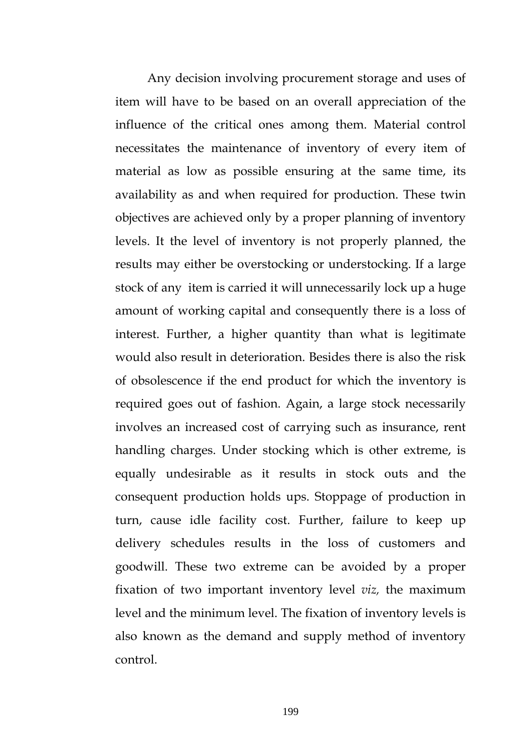Any decision involving procurement storage and uses of item will have to be based on an overall appreciation of the influence of the critical ones among them. Material control necessitates the maintenance of inventory of every item of material as low as possible ensuring at the same time, its availability as and when required for production. These twin objectives are achieved only by a proper planning of inventory levels. It the level of inventory is not properly planned, the results may either be overstocking or understocking. If a large stock of any item is carried it will unnecessarily lock up a huge amount of working capital and consequently there is a loss of interest. Further, a higher quantity than what is legitimate would also result in deterioration. Besides there is also the risk of obsolescence if the end product for which the inventory is required goes out of fashion. Again, a large stock necessarily involves an increased cost of carrying such as insurance, rent handling charges. Under stocking which is other extreme, is equally undesirable as it results in stock outs and the consequent production holds ups. Stoppage of production in turn, cause idle facility cost. Further, failure to keep up delivery schedules results in the loss of customers and goodwill. These two extreme can be avoided by a proper fixation of two important inventory level *viz,* the maximum level and the minimum level. The fixation of inventory levels is also known as the demand and supply method of inventory control.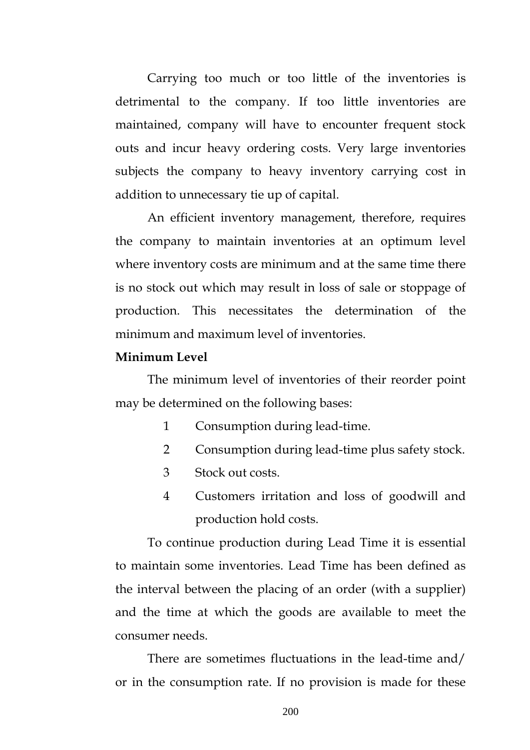Carrying too much or too little of the inventories is detrimental to the company. If too little inventories are maintained, company will have to encounter frequent stock outs and incur heavy ordering costs. Very large inventories subjects the company to heavy inventory carrying cost in addition to unnecessary tie up of capital.

An efficient inventory management, therefore, requires the company to maintain inventories at an optimum level where inventory costs are minimum and at the same time there is no stock out which may result in loss of sale or stoppage of production. This necessitates the determination of the minimum and maximum level of inventories.

## **Minimum Level**

 The minimum level of inventories of their reorder point may be determined on the following bases:

- 1 Consumption during lead-time.
- 2 Consumption during lead-time plus safety stock.
- 3 Stock out costs.
- 4 Customers irritation and loss of goodwill and production hold costs.

To continue production during Lead Time it is essential to maintain some inventories. Lead Time has been defined as the interval between the placing of an order (with a supplier) and the time at which the goods are available to meet the consumer needs.

There are sometimes fluctuations in the lead-time and/ or in the consumption rate. If no provision is made for these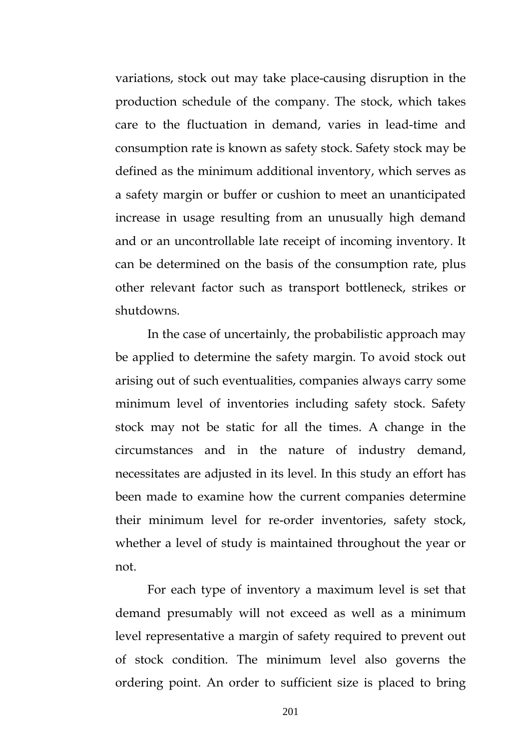variations, stock out may take place-causing disruption in the production schedule of the company. The stock, which takes care to the fluctuation in demand, varies in lead-time and consumption rate is known as safety stock. Safety stock may be defined as the minimum additional inventory, which serves as a safety margin or buffer or cushion to meet an unanticipated increase in usage resulting from an unusually high demand and or an uncontrollable late receipt of incoming inventory. It can be determined on the basis of the consumption rate, plus other relevant factor such as transport bottleneck, strikes or shutdowns.

In the case of uncertainly, the probabilistic approach may be applied to determine the safety margin. To avoid stock out arising out of such eventualities, companies always carry some minimum level of inventories including safety stock. Safety stock may not be static for all the times. A change in the circumstances and in the nature of industry demand, necessitates are adjusted in its level. In this study an effort has been made to examine how the current companies determine their minimum level for re-order inventories, safety stock, whether a level of study is maintained throughout the year or not.

For each type of inventory a maximum level is set that demand presumably will not exceed as well as a minimum level representative a margin of safety required to prevent out of stock condition. The minimum level also governs the ordering point. An order to sufficient size is placed to bring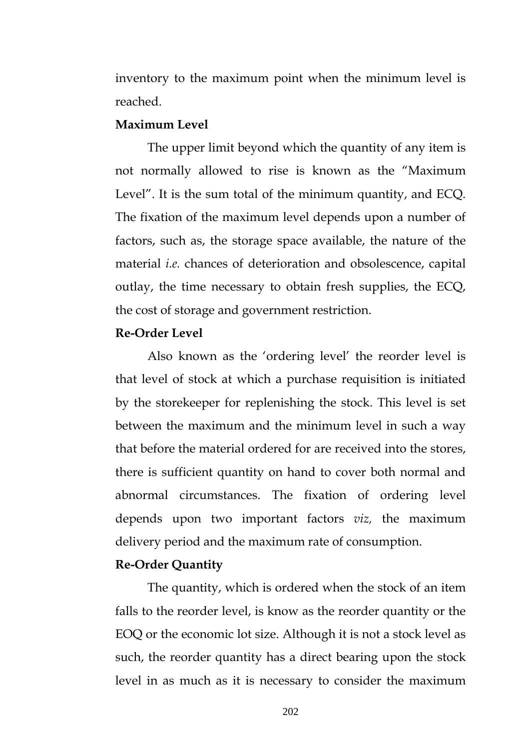inventory to the maximum point when the minimum level is reached.

#### **Maximum Level**

The upper limit beyond which the quantity of any item is not normally allowed to rise is known as the "Maximum Level". It is the sum total of the minimum quantity, and ECQ. The fixation of the maximum level depends upon a number of factors, such as, the storage space available, the nature of the material *i.e.* chances of deterioration and obsolescence, capital outlay, the time necessary to obtain fresh supplies, the ECQ, the cost of storage and government restriction.

#### **Re-Order Level**

Also known as the 'ordering level' the reorder level is that level of stock at which a purchase requisition is initiated by the storekeeper for replenishing the stock. This level is set between the maximum and the minimum level in such a way that before the material ordered for are received into the stores, there is sufficient quantity on hand to cover both normal and abnormal circumstances. The fixation of ordering level depends upon two important factors *viz,* the maximum delivery period and the maximum rate of consumption.

### **Re-Order Quantity**

The quantity, which is ordered when the stock of an item falls to the reorder level, is know as the reorder quantity or the EOQ or the economic lot size. Although it is not a stock level as such, the reorder quantity has a direct bearing upon the stock level in as much as it is necessary to consider the maximum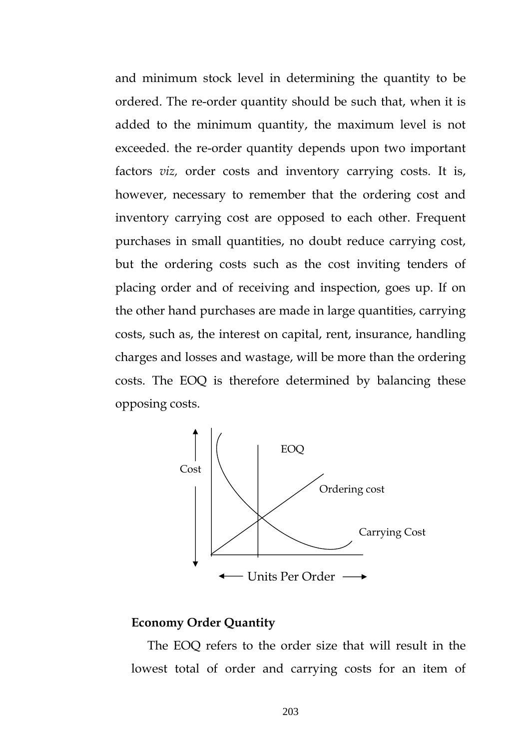and minimum stock level in determining the quantity to be ordered. The re-order quantity should be such that, when it is added to the minimum quantity, the maximum level is not exceeded. the re-order quantity depends upon two important factors *viz,* order costs and inventory carrying costs. It is, however, necessary to remember that the ordering cost and inventory carrying cost are opposed to each other. Frequent purchases in small quantities, no doubt reduce carrying cost, but the ordering costs such as the cost inviting tenders of placing order and of receiving and inspection, goes up. If on the other hand purchases are made in large quantities, carrying costs, such as, the interest on capital, rent, insurance, handling charges and losses and wastage, will be more than the ordering costs. The EOQ is therefore determined by balancing these opposing costs.



### **Economy Order Quantity**

 The EOQ refers to the order size that will result in the lowest total of order and carrying costs for an item of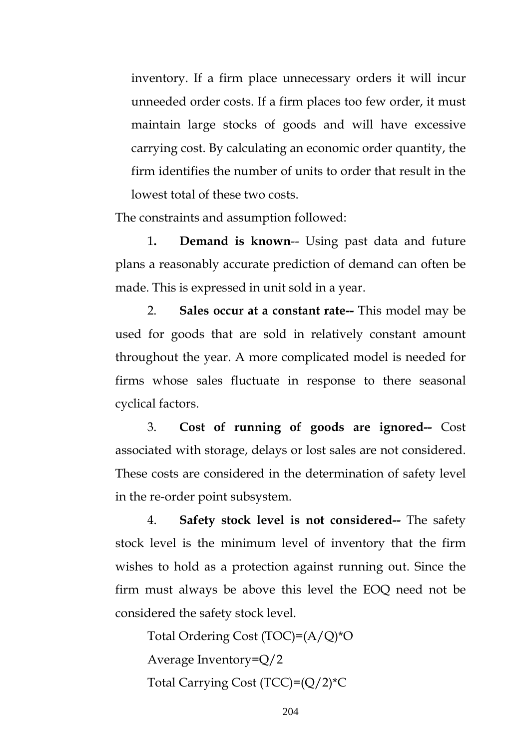inventory. If a firm place unnecessary orders it will incur unneeded order costs. If a firm places too few order, it must maintain large stocks of goods and will have excessive carrying cost. By calculating an economic order quantity, the firm identifies the number of units to order that result in the lowest total of these two costs.

The constraints and assumption followed:

1**. Demand is known**-- Using past data and future plans a reasonably accurate prediction of demand can often be made. This is expressed in unit sold in a year.

2. **Sales occur at a constant rate--** This model may be used for goods that are sold in relatively constant amount throughout the year. A more complicated model is needed for firms whose sales fluctuate in response to there seasonal cyclical factors.

3. **Cost of running of goods are ignored--** Cost associated with storage, delays or lost sales are not considered. These costs are considered in the determination of safety level in the re-order point subsystem.

4. **Safety stock level is not considered--** The safety stock level is the minimum level of inventory that the firm wishes to hold as a protection against running out. Since the firm must always be above this level the EOQ need not be considered the safety stock level.

Total Ordering Cost (TOC)=(A/Q)\*O Average Inventory=Q/2 Total Carrying Cost (TCC)=(Q/2)\*C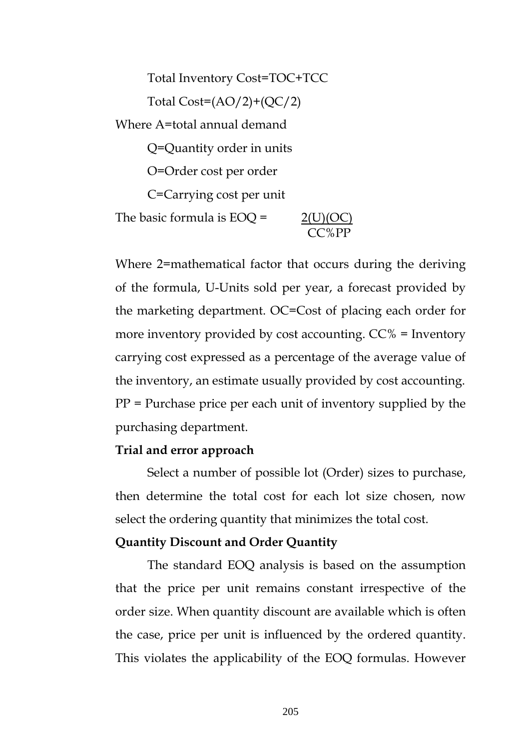Total Inventory Cost=TOC+TCC Total  $Cost=(AO/2)+(OC/2)$ Where A=total annual demand Q=Quantity order in units O=Order cost per order C=Carrying cost per unit The basic formula is  $EOQ = 2(U)(OC)$ CC%PP

Where 2=mathematical factor that occurs during the deriving of the formula, U-Units sold per year, a forecast provided by the marketing department. OC=Cost of placing each order for more inventory provided by cost accounting. CC% = Inventory carrying cost expressed as a percentage of the average value of the inventory, an estimate usually provided by cost accounting.  $PP =$  Purchase price per each unit of inventory supplied by the purchasing department.

#### **Trial and error approach**

 Select a number of possible lot (Order) sizes to purchase, then determine the total cost for each lot size chosen, now select the ordering quantity that minimizes the total cost.

#### **Quantity Discount and Order Quantity**

 The standard EOQ analysis is based on the assumption that the price per unit remains constant irrespective of the order size. When quantity discount are available which is often the case, price per unit is influenced by the ordered quantity. This violates the applicability of the EOQ formulas. However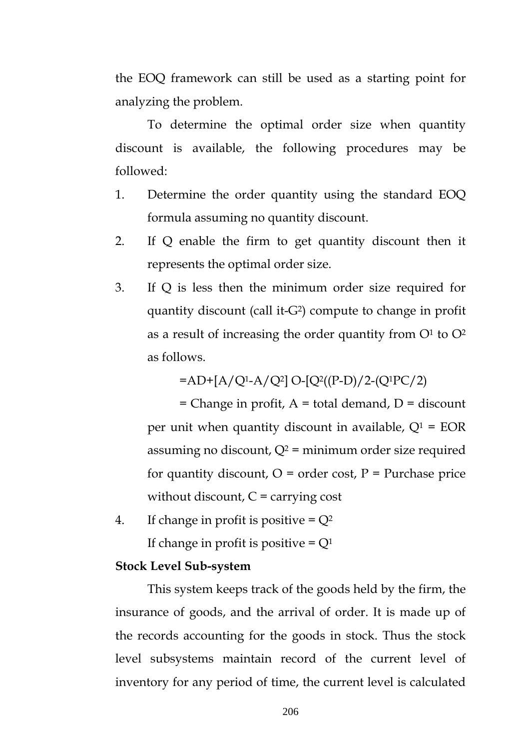the EOQ framework can still be used as a starting point for analyzing the problem.

 To determine the optimal order size when quantity discount is available, the following procedures may be followed:

- 1. Determine the order quantity using the standard EOQ formula assuming no quantity discount.
- 2. If Q enable the firm to get quantity discount then it represents the optimal order size.
- 3. If Q is less then the minimum order size required for quantity discount (call it-G2) compute to change in profit as a result of increasing the order quantity from  $O<sup>1</sup>$  to  $O<sup>2</sup>$ as follows.

 $=$ AD+[A/Q<sup>1</sup>-A/Q<sup>2</sup>] O-[Q<sup>2</sup>((P-D)/2-(Q<sup>1</sup>PC/2)

 $=$  Change in profit, A  $=$  total demand, D  $=$  discount per unit when quantity discount in available,  $Q^1$  = EOR assuming no discount,  $Q^2$  = minimum order size required for quantity discount,  $O =$  order cost,  $P =$  Purchase price without discount,  $C =$  carrying cost

4. If change in profit is positive  $= Q^2$ If change in profit is positive  $= Q<sup>1</sup>$ 

### **Stock Level Sub-system**

 This system keeps track of the goods held by the firm, the insurance of goods, and the arrival of order. It is made up of the records accounting for the goods in stock. Thus the stock level subsystems maintain record of the current level of inventory for any period of time, the current level is calculated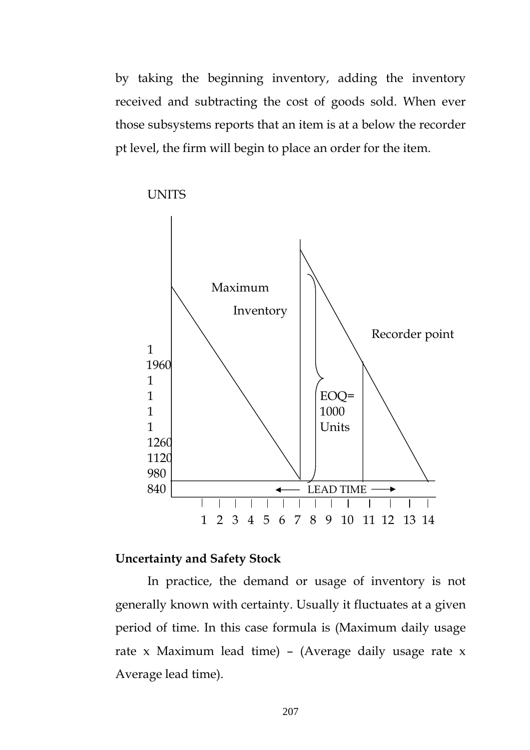by taking the beginning inventory, adding the inventory received and subtracting the cost of goods sold. When ever those subsystems reports that an item is at a below the recorder pt level, the firm will begin to place an order for the item.



UNITS

#### **Uncertainty and Safety Stock**

 In practice, the demand or usage of inventory is not generally known with certainty. Usually it fluctuates at a given period of time. In this case formula is (Maximum daily usage rate x Maximum lead time) – (Average daily usage rate x Average lead time).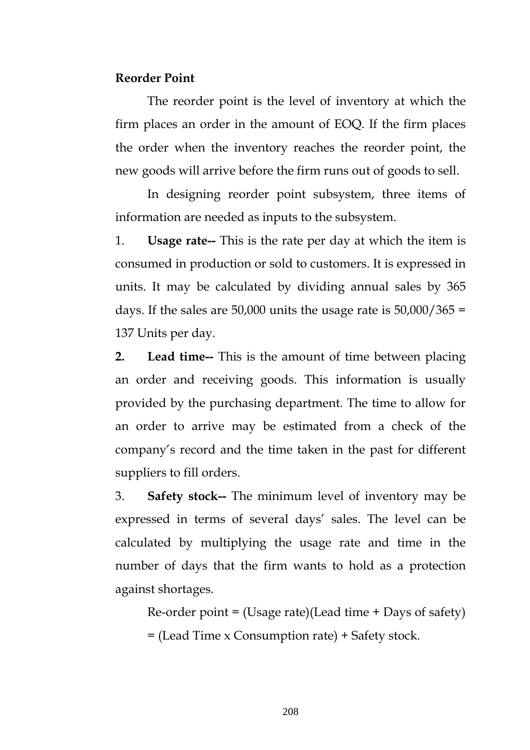#### **Reorder Point**

 The reorder point is the level of inventory at which the firm places an order in the amount of EOQ. If the firm places the order when the inventory reaches the reorder point, the new goods will arrive before the firm runs out of goods to sell.

 In designing reorder point subsystem, three items of information are needed as inputs to the subsystem.

1. **Usage rate--** This is the rate per day at which the item is consumed in production or sold to customers. It is expressed in units. It may be calculated by dividing annual sales by 365 days. If the sales are  $50,000$  units the usage rate is  $50,000/365 =$ 137 Units per day.

**2. Lead time--** This is the amount of time between placing an order and receiving goods. This information is usually provided by the purchasing department. The time to allow for an order to arrive may be estimated from a check of the company's record and the time taken in the past for different suppliers to fill orders.

3. **Safety stock--** The minimum level of inventory may be expressed in terms of several days' sales. The level can be calculated by multiplying the usage rate and time in the number of days that the firm wants to hold as a protection against shortages.

 $Re\text{-}order point = (Usage rate)(Lead time + Days of safety)$ = (Lead Time x Consumption rate) + Safety stock.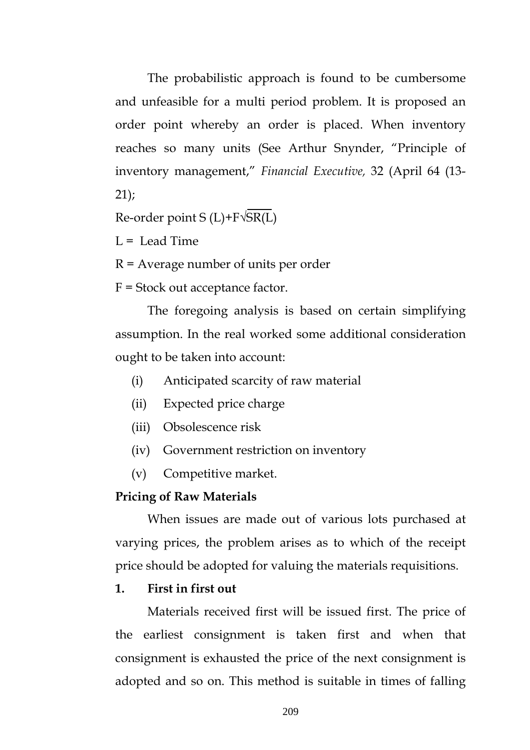The probabilistic approach is found to be cumbersome and unfeasible for a multi period problem. It is proposed an order point whereby an order is placed. When inventory reaches so many units (See Arthur Snynder, "Principle of inventory management," *Financial Executive,* 32 (April 64 (13- 21);

Re-order point  $S(L)+F\sqrt{SR(L)}$ 

 $L =$  Lead Time

R = Average number of units per order

F = Stock out acceptance factor.

 The foregoing analysis is based on certain simplifying assumption. In the real worked some additional consideration ought to be taken into account:

- (i) Anticipated scarcity of raw material
- (ii) Expected price charge
- (iii) Obsolescence risk
- (iv) Government restriction on inventory
- (v) Competitive market.

#### **Pricing of Raw Materials**

 When issues are made out of various lots purchased at varying prices, the problem arises as to which of the receipt price should be adopted for valuing the materials requisitions.

#### **1. First in first out**

 Materials received first will be issued first. The price of the earliest consignment is taken first and when that consignment is exhausted the price of the next consignment is adopted and so on. This method is suitable in times of falling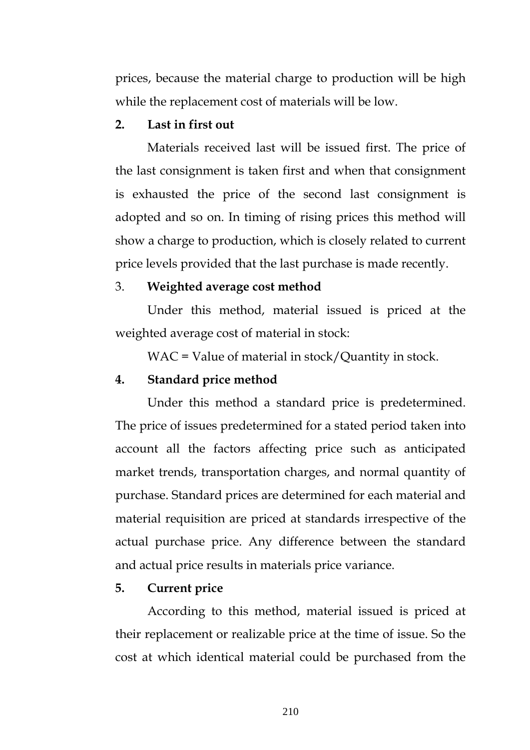prices, because the material charge to production will be high while the replacement cost of materials will be low.

### **2. Last in first out**

 Materials received last will be issued first. The price of the last consignment is taken first and when that consignment is exhausted the price of the second last consignment is adopted and so on. In timing of rising prices this method will show a charge to production, which is closely related to current price levels provided that the last purchase is made recently.

#### 3. **Weighted average cost method**

 Under this method, material issued is priced at the weighted average cost of material in stock:

WAC = Value of material in stock/Quantity in stock.

#### **4. Standard price method**

Under this method a standard price is predetermined. The price of issues predetermined for a stated period taken into account all the factors affecting price such as anticipated market trends, transportation charges, and normal quantity of purchase. Standard prices are determined for each material and material requisition are priced at standards irrespective of the actual purchase price. Any difference between the standard and actual price results in materials price variance.

#### **5. Current price**

 According to this method, material issued is priced at their replacement or realizable price at the time of issue. So the cost at which identical material could be purchased from the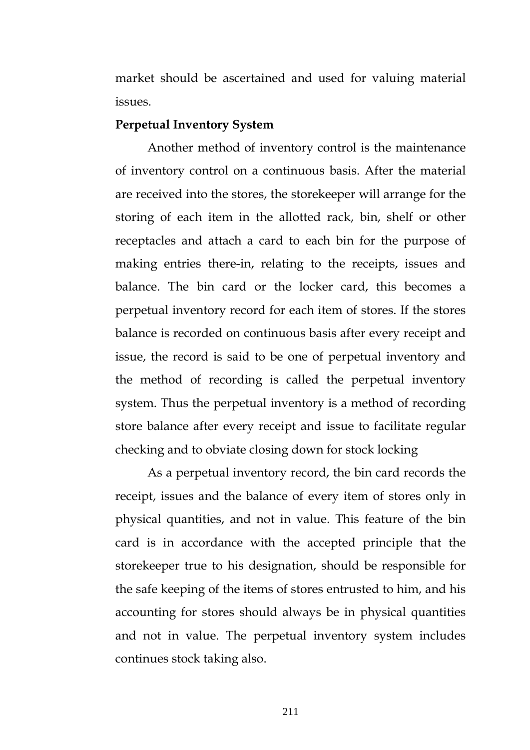market should be ascertained and used for valuing material issues.

#### **Perpetual Inventory System**

 Another method of inventory control is the maintenance of inventory control on a continuous basis. After the material are received into the stores, the storekeeper will arrange for the storing of each item in the allotted rack, bin, shelf or other receptacles and attach a card to each bin for the purpose of making entries there-in, relating to the receipts, issues and balance. The bin card or the locker card, this becomes a perpetual inventory record for each item of stores. If the stores balance is recorded on continuous basis after every receipt and issue, the record is said to be one of perpetual inventory and the method of recording is called the perpetual inventory system. Thus the perpetual inventory is a method of recording store balance after every receipt and issue to facilitate regular checking and to obviate closing down for stock locking

 As a perpetual inventory record, the bin card records the receipt, issues and the balance of every item of stores only in physical quantities, and not in value. This feature of the bin card is in accordance with the accepted principle that the storekeeper true to his designation, should be responsible for the safe keeping of the items of stores entrusted to him, and his accounting for stores should always be in physical quantities and not in value. The perpetual inventory system includes continues stock taking also.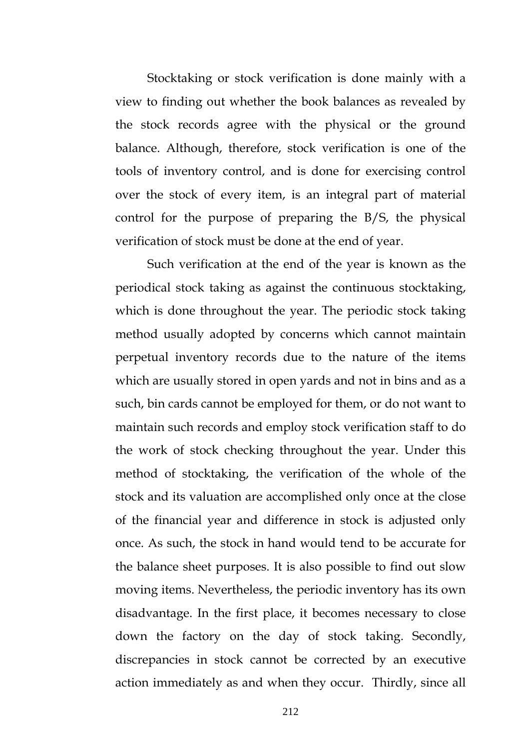Stocktaking or stock verification is done mainly with a view to finding out whether the book balances as revealed by the stock records agree with the physical or the ground balance. Although, therefore, stock verification is one of the tools of inventory control, and is done for exercising control over the stock of every item, is an integral part of material control for the purpose of preparing the B/S, the physical verification of stock must be done at the end of year.

 Such verification at the end of the year is known as the periodical stock taking as against the continuous stocktaking, which is done throughout the year. The periodic stock taking method usually adopted by concerns which cannot maintain perpetual inventory records due to the nature of the items which are usually stored in open yards and not in bins and as a such, bin cards cannot be employed for them, or do not want to maintain such records and employ stock verification staff to do the work of stock checking throughout the year. Under this method of stocktaking, the verification of the whole of the stock and its valuation are accomplished only once at the close of the financial year and difference in stock is adjusted only once. As such, the stock in hand would tend to be accurate for the balance sheet purposes. It is also possible to find out slow moving items. Nevertheless, the periodic inventory has its own disadvantage. In the first place, it becomes necessary to close down the factory on the day of stock taking. Secondly, discrepancies in stock cannot be corrected by an executive action immediately as and when they occur. Thirdly, since all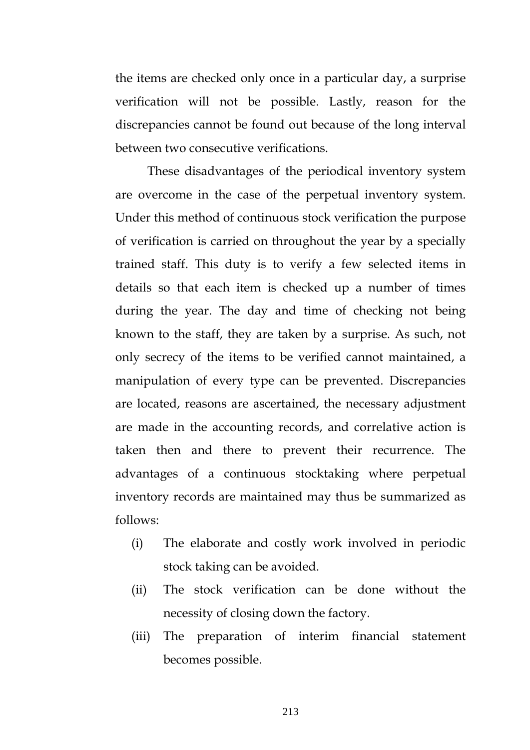the items are checked only once in a particular day, a surprise verification will not be possible. Lastly, reason for the discrepancies cannot be found out because of the long interval between two consecutive verifications.

 These disadvantages of the periodical inventory system are overcome in the case of the perpetual inventory system. Under this method of continuous stock verification the purpose of verification is carried on throughout the year by a specially trained staff. This duty is to verify a few selected items in details so that each item is checked up a number of times during the year. The day and time of checking not being known to the staff, they are taken by a surprise. As such, not only secrecy of the items to be verified cannot maintained, a manipulation of every type can be prevented. Discrepancies are located, reasons are ascertained, the necessary adjustment are made in the accounting records, and correlative action is taken then and there to prevent their recurrence. The advantages of a continuous stocktaking where perpetual inventory records are maintained may thus be summarized as follows:

- (i) The elaborate and costly work involved in periodic stock taking can be avoided.
- (ii) The stock verification can be done without the necessity of closing down the factory.
- (iii) The preparation of interim financial statement becomes possible.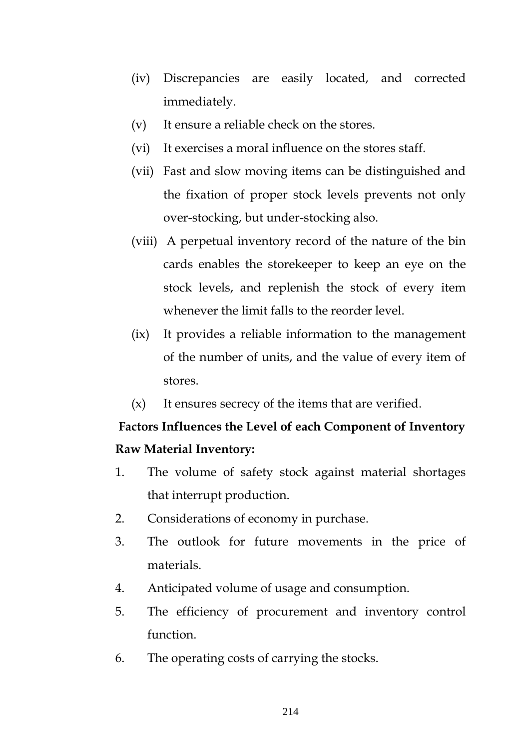- (iv) Discrepancies are easily located, and corrected immediately.
- (v) It ensure a reliable check on the stores.
- (vi) It exercises a moral influence on the stores staff.
- (vii) Fast and slow moving items can be distinguished and the fixation of proper stock levels prevents not only over-stocking, but under-stocking also.
- (viii) A perpetual inventory record of the nature of the bin cards enables the storekeeper to keep an eye on the stock levels, and replenish the stock of every item whenever the limit falls to the reorder level.
- (ix) It provides a reliable information to the management of the number of units, and the value of every item of stores.
- (x) It ensures secrecy of the items that are verified.

## **Factors Influences the Level of each Component of Inventory Raw Material Inventory:**

- 1. The volume of safety stock against material shortages that interrupt production.
- 2. Considerations of economy in purchase.
- 3. The outlook for future movements in the price of materials.
- 4. Anticipated volume of usage and consumption.
- 5. The efficiency of procurement and inventory control function.
- 6. The operating costs of carrying the stocks.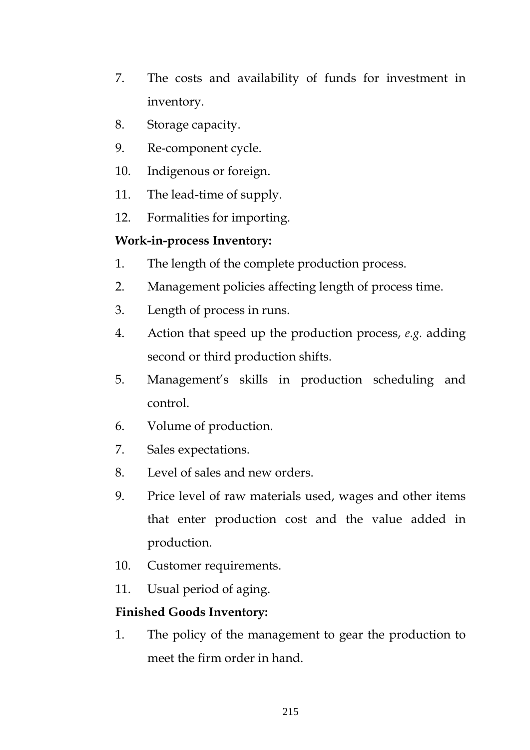- 7. The costs and availability of funds for investment in inventory.
- 8. Storage capacity.
- 9. Re-component cycle.
- 10. Indigenous or foreign.
- 11. The lead-time of supply.
- 12. Formalities for importing.

### **Work-in-process Inventory:**

- 1. The length of the complete production process.
- 2. Management policies affecting length of process time.
- 3. Length of process in runs.
- 4. Action that speed up the production process, *e.g.* adding second or third production shifts.
- 5. Management's skills in production scheduling and control.
- 6. Volume of production.
- 7. Sales expectations.
- 8. Level of sales and new orders.
- 9. Price level of raw materials used, wages and other items that enter production cost and the value added in production.
- 10. Customer requirements.
- 11. Usual period of aging.

### **Finished Goods Inventory:**

1. The policy of the management to gear the production to meet the firm order in hand.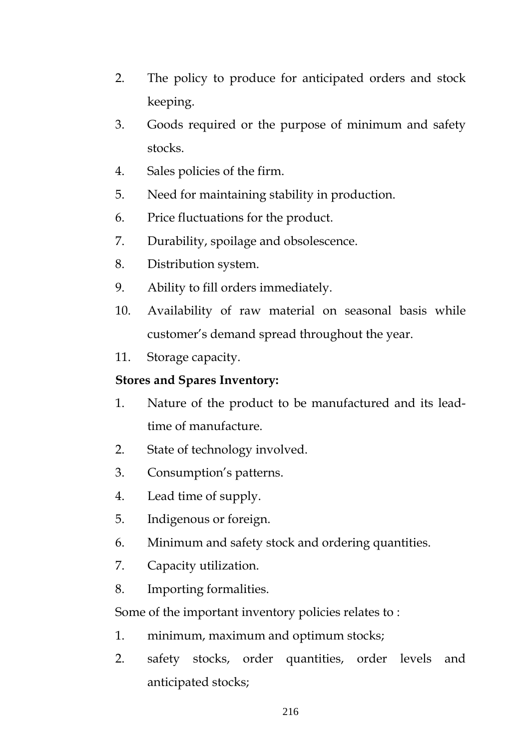- 2. The policy to produce for anticipated orders and stock keeping.
- 3. Goods required or the purpose of minimum and safety stocks.
- 4. Sales policies of the firm.
- 5. Need for maintaining stability in production.
- 6. Price fluctuations for the product.
- 7. Durability, spoilage and obsolescence.
- 8. Distribution system.
- 9. Ability to fill orders immediately.
- 10. Availability of raw material on seasonal basis while customer's demand spread throughout the year.
- 11. Storage capacity.

## **Stores and Spares Inventory:**

- 1. Nature of the product to be manufactured and its leadtime of manufacture.
- 2. State of technology involved.
- 3. Consumption's patterns.
- 4. Lead time of supply.
- 5. Indigenous or foreign.
- 6. Minimum and safety stock and ordering quantities.
- 7. Capacity utilization.
- 8. Importing formalities.

Some of the important inventory policies relates to :

- 1. minimum, maximum and optimum stocks;
- 2. safety stocks, order quantities, order levels and anticipated stocks;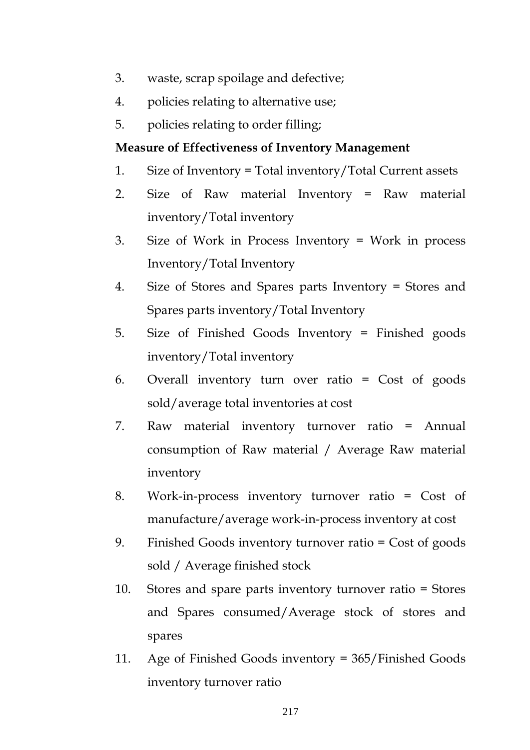- 3. waste, scrap spoilage and defective;
- 4. policies relating to alternative use;
- 5. policies relating to order filling;

#### **Measure of Effectiveness of Inventory Management**

- 1. Size of Inventory = Total inventory/Total Current assets
- 2. Size of Raw material Inventory = Raw material inventory/Total inventory
- 3. Size of Work in Process Inventory = Work in process Inventory/Total Inventory
- 4. Size of Stores and Spares parts Inventory = Stores and Spares parts inventory/Total Inventory
- 5. Size of Finished Goods Inventory = Finished goods inventory/Total inventory
- 6. Overall inventory turn over ratio = Cost of goods sold/average total inventories at cost
- 7. Raw material inventory turnover ratio = Annual consumption of Raw material / Average Raw material inventory
- 8. Work-in-process inventory turnover ratio = Cost of manufacture/average work-in-process inventory at cost
- 9. Finished Goods inventory turnover ratio = Cost of goods sold / Average finished stock
- 10. Stores and spare parts inventory turnover ratio = Stores and Spares consumed/Average stock of stores and spares
- 11. Age of Finished Goods inventory = 365/Finished Goods inventory turnover ratio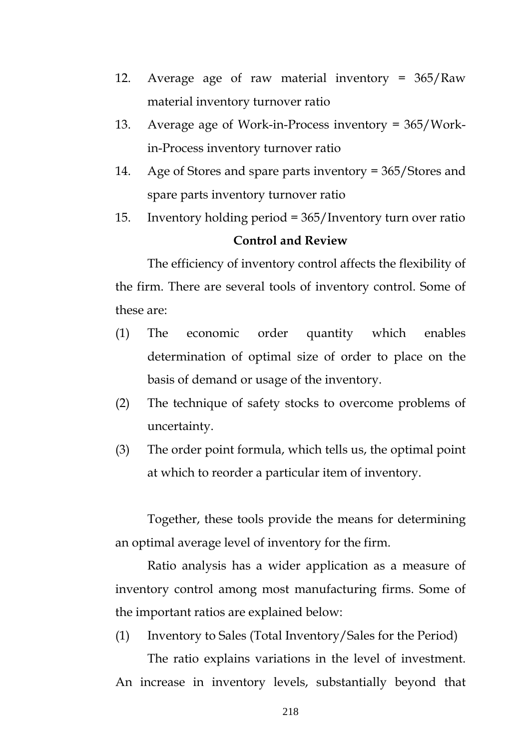- 12. Average age of raw material inventory = 365/Raw material inventory turnover ratio
- 13. Average age of Work-in-Process inventory = 365/Workin-Process inventory turnover ratio
- 14. Age of Stores and spare parts inventory = 365/Stores and spare parts inventory turnover ratio
- 15. Inventory holding period = 365/Inventory turn over ratio **Control and Review**

The efficiency of inventory control affects the flexibility of the firm. There are several tools of inventory control. Some of these are:

- (1) The economic order quantity which enables determination of optimal size of order to place on the basis of demand or usage of the inventory.
- (2) The technique of safety stocks to overcome problems of uncertainty.
- (3) The order point formula, which tells us, the optimal point at which to reorder a particular item of inventory.

Together, these tools provide the means for determining an optimal average level of inventory for the firm.

Ratio analysis has a wider application as a measure of inventory control among most manufacturing firms. Some of the important ratios are explained below:

(1) Inventory to Sales (Total Inventory/Sales for the Period)

 The ratio explains variations in the level of investment. An increase in inventory levels, substantially beyond that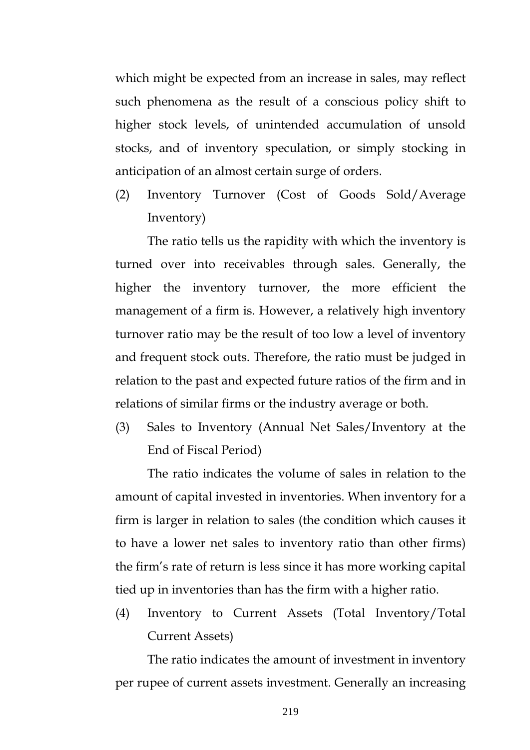which might be expected from an increase in sales, may reflect such phenomena as the result of a conscious policy shift to higher stock levels, of unintended accumulation of unsold stocks, and of inventory speculation, or simply stocking in anticipation of an almost certain surge of orders.

(2) Inventory Turnover (Cost of Goods Sold/Average Inventory)

The ratio tells us the rapidity with which the inventory is turned over into receivables through sales. Generally, the higher the inventory turnover, the more efficient the management of a firm is. However, a relatively high inventory turnover ratio may be the result of too low a level of inventory and frequent stock outs. Therefore, the ratio must be judged in relation to the past and expected future ratios of the firm and in relations of similar firms or the industry average or both.

(3) Sales to Inventory (Annual Net Sales/Inventory at the End of Fiscal Period)

 The ratio indicates the volume of sales in relation to the amount of capital invested in inventories. When inventory for a firm is larger in relation to sales (the condition which causes it to have a lower net sales to inventory ratio than other firms) the firm's rate of return is less since it has more working capital tied up in inventories than has the firm with a higher ratio.

(4) Inventory to Current Assets (Total Inventory/Total Current Assets)

The ratio indicates the amount of investment in inventory per rupee of current assets investment. Generally an increasing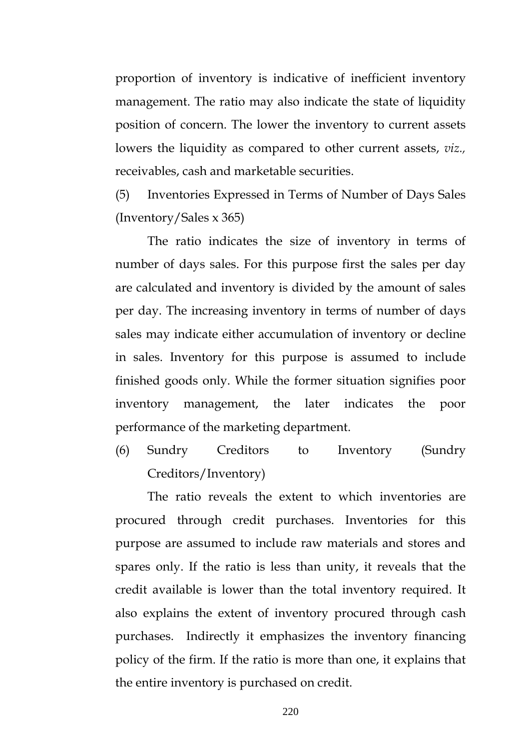proportion of inventory is indicative of inefficient inventory management. The ratio may also indicate the state of liquidity position of concern. The lower the inventory to current assets lowers the liquidity as compared to other current assets, *viz.,* receivables, cash and marketable securities.

(5) Inventories Expressed in Terms of Number of Days Sales (Inventory/Sales x 365)

The ratio indicates the size of inventory in terms of number of days sales. For this purpose first the sales per day are calculated and inventory is divided by the amount of sales per day. The increasing inventory in terms of number of days sales may indicate either accumulation of inventory or decline in sales. Inventory for this purpose is assumed to include finished goods only. While the former situation signifies poor inventory management, the later indicates the poor performance of the marketing department.

(6) Sundry Creditors to Inventory (Sundry Creditors/Inventory)

The ratio reveals the extent to which inventories are procured through credit purchases. Inventories for this purpose are assumed to include raw materials and stores and spares only. If the ratio is less than unity, it reveals that the credit available is lower than the total inventory required. It also explains the extent of inventory procured through cash purchases. Indirectly it emphasizes the inventory financing policy of the firm. If the ratio is more than one, it explains that the entire inventory is purchased on credit.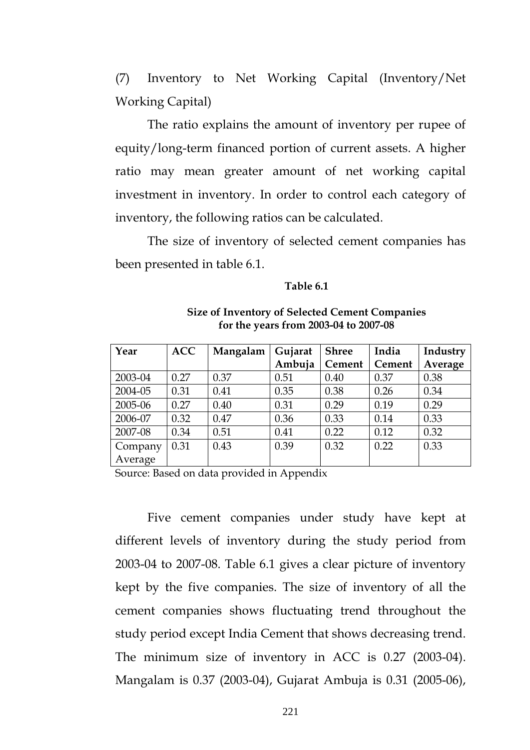(7) Inventory to Net Working Capital (Inventory/Net Working Capital)

The ratio explains the amount of inventory per rupee of equity/long-term financed portion of current assets. A higher ratio may mean greater amount of net working capital investment in inventory. In order to control each category of inventory, the following ratios can be calculated.

The size of inventory of selected cement companies has been presented in table 6.1.

#### **Table 6.1**

| Year    | <b>ACC</b> | Mangalam | Gujarat | <b>Shree</b> | India  | Industry |
|---------|------------|----------|---------|--------------|--------|----------|
|         |            |          | Ambuja  | Cement       | Cement | Average  |
| 2003-04 | 0.27       | 0.37     | 0.51    | 0.40         | 0.37   | 0.38     |
| 2004-05 | 0.31       | 0.41     | 0.35    | 0.38         | 0.26   | 0.34     |
| 2005-06 | 0.27       | 0.40     | 0.31    | 0.29         | 0.19   | 0.29     |
| 2006-07 | 0.32       | 0.47     | 0.36    | 0.33         | 0.14   | 0.33     |
| 2007-08 | 0.34       | 0.51     | 0.41    | 0.22         | 0.12   | 0.32     |
| Company | 0.31       | 0.43     | 0.39    | 0.32         | 0.22   | 0.33     |
| Average |            |          |         |              |        |          |

**Size of Inventory of Selected Cement Companies for the years from 2003-04 to 2007-08** 

Source: Based on data provided in Appendix

 Five cement companies under study have kept at different levels of inventory during the study period from 2003-04 to 2007-08. Table 6.1 gives a clear picture of inventory kept by the five companies. The size of inventory of all the cement companies shows fluctuating trend throughout the study period except India Cement that shows decreasing trend. The minimum size of inventory in ACC is 0.27 (2003-04). Mangalam is 0.37 (2003-04), Gujarat Ambuja is 0.31 (2005-06),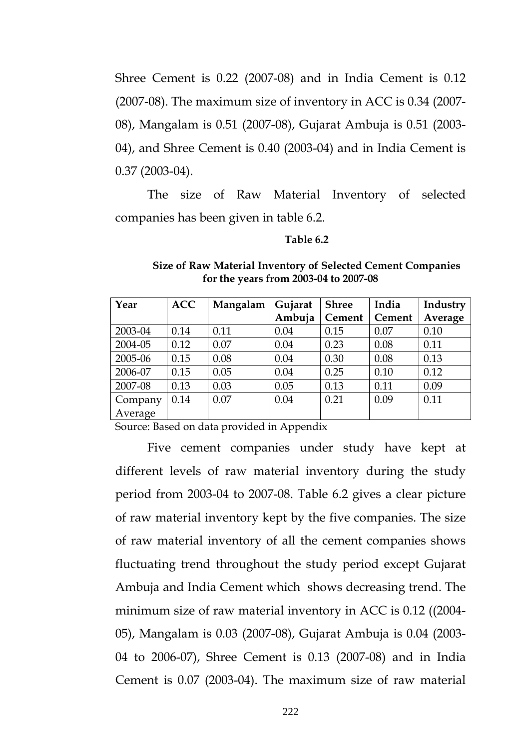Shree Cement is 0.22 (2007-08) and in India Cement is 0.12 (2007-08). The maximum size of inventory in ACC is 0.34 (2007- 08), Mangalam is 0.51 (2007-08), Gujarat Ambuja is 0.51 (2003- 04), and Shree Cement is 0.40 (2003-04) and in India Cement is 0.37 (2003-04).

 The size of Raw Material Inventory of selected companies has been given in table 6.2.

#### **Table 6.2**

| Year    | <b>ACC</b> | Mangalam | Gujarat | <b>Shree</b> | India  | Industry |
|---------|------------|----------|---------|--------------|--------|----------|
|         |            |          | Ambuja  | Cement       | Cement | Average  |
| 2003-04 | 0.14       | 0.11     | 0.04    | 0.15         | 0.07   | 0.10     |
| 2004-05 | 0.12       | 0.07     | 0.04    | 0.23         | 0.08   | 0.11     |
| 2005-06 | 0.15       | 0.08     | 0.04    | 0.30         | 0.08   | 0.13     |
| 2006-07 | 0.15       | 0.05     | 0.04    | 0.25         | 0.10   | 0.12     |
| 2007-08 | 0.13       | 0.03     | 0.05    | 0.13         | 0.11   | 0.09     |
| Company | 0.14       | 0.07     | 0.04    | 0.21         | 0.09   | 0.11     |
| Average |            |          |         |              |        |          |

#### **Size of Raw Material Inventory of Selected Cement Companies for the years from 2003-04 to 2007-08**

Source: Based on data provided in Appendix

 Five cement companies under study have kept at different levels of raw material inventory during the study period from 2003-04 to 2007-08. Table 6.2 gives a clear picture of raw material inventory kept by the five companies. The size of raw material inventory of all the cement companies shows fluctuating trend throughout the study period except Gujarat Ambuja and India Cement which shows decreasing trend. The minimum size of raw material inventory in ACC is 0.12 ((2004- 05), Mangalam is 0.03 (2007-08), Gujarat Ambuja is 0.04 (2003- 04 to 2006-07), Shree Cement is 0.13 (2007-08) and in India Cement is 0.07 (2003-04). The maximum size of raw material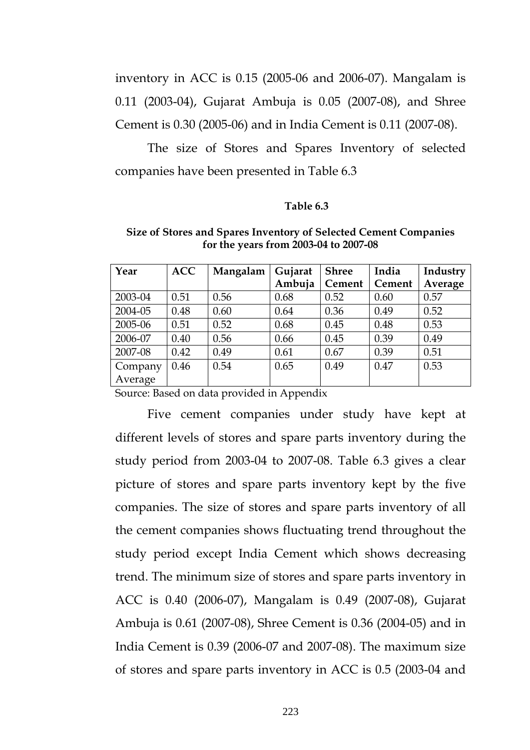inventory in ACC is 0.15 (2005-06 and 2006-07). Mangalam is 0.11 (2003-04), Gujarat Ambuja is 0.05 (2007-08), and Shree Cement is 0.30 (2005-06) and in India Cement is 0.11 (2007-08).

 The size of Stores and Spares Inventory of selected companies have been presented in Table 6.3

#### **Table 6.3**

| Year    | <b>ACC</b> | Mangalam | Gujarat | <b>Shree</b> | India  | Industry |
|---------|------------|----------|---------|--------------|--------|----------|
|         |            |          | Ambuja  | Cement       | Cement | Average  |
| 2003-04 | 0.51       | 0.56     | 0.68    | 0.52         | 0.60   | 0.57     |
| 2004-05 | 0.48       | 0.60     | 0.64    | 0.36         | 0.49   | 0.52     |
| 2005-06 | 0.51       | 0.52     | 0.68    | 0.45         | 0.48   | 0.53     |
| 2006-07 | 0.40       | 0.56     | 0.66    | 0.45         | 0.39   | 0.49     |
| 2007-08 | 0.42       | 0.49     | 0.61    | 0.67         | 0.39   | 0.51     |
| Company | 0.46       | 0.54     | 0.65    | 0.49         | 0.47   | 0.53     |
| Average |            |          |         |              |        |          |

**Size of Stores and Spares Inventory of Selected Cement Companies for the years from 2003-04 to 2007-08** 

Source: Based on data provided in Appendix

 Five cement companies under study have kept at different levels of stores and spare parts inventory during the study period from 2003-04 to 2007-08. Table 6.3 gives a clear picture of stores and spare parts inventory kept by the five companies. The size of stores and spare parts inventory of all the cement companies shows fluctuating trend throughout the study period except India Cement which shows decreasing trend. The minimum size of stores and spare parts inventory in ACC is 0.40 (2006-07), Mangalam is 0.49 (2007-08), Gujarat Ambuja is 0.61 (2007-08), Shree Cement is 0.36 (2004-05) and in India Cement is 0.39 (2006-07 and 2007-08). The maximum size of stores and spare parts inventory in ACC is 0.5 (2003-04 and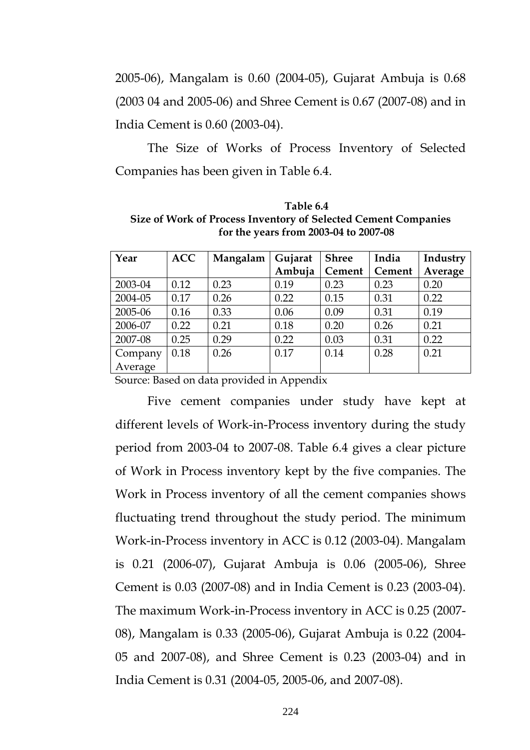2005-06), Mangalam is 0.60 (2004-05), Gujarat Ambuja is 0.68 (2003 04 and 2005-06) and Shree Cement is 0.67 (2007-08) and in India Cement is 0.60 (2003-04).

 The Size of Works of Process Inventory of Selected Companies has been given in Table 6.4.

| Table 6.4                                                      |
|----------------------------------------------------------------|
| Size of Work of Process Inventory of Selected Cement Companies |
| for the years from 2003-04 to 2007-08                          |

| Year    | <b>ACC</b> | Mangalam | Gujarat | <b>Shree</b>  | India  | Industry |
|---------|------------|----------|---------|---------------|--------|----------|
|         |            |          | Ambuja  | <b>Cement</b> | Cement | Average  |
| 2003-04 | 0.12       | 0.23     | 0.19    | 0.23          | 0.23   | 0.20     |
| 2004-05 | 0.17       | 0.26     | 0.22    | 0.15          | 0.31   | 0.22     |
| 2005-06 | 0.16       | 0.33     | 0.06    | 0.09          | 0.31   | 0.19     |
| 2006-07 | 0.22       | 0.21     | 0.18    | 0.20          | 0.26   | 0.21     |
| 2007-08 | 0.25       | 0.29     | 0.22    | 0.03          | 0.31   | 0.22     |
| Company | 0.18       | 0.26     | 0.17    | 0.14          | 0.28   | 0.21     |
| Average |            |          |         |               |        |          |

Source: Based on data provided in Appendix

 Five cement companies under study have kept at different levels of Work-in-Process inventory during the study period from 2003-04 to 2007-08. Table 6.4 gives a clear picture of Work in Process inventory kept by the five companies. The Work in Process inventory of all the cement companies shows fluctuating trend throughout the study period. The minimum Work-in-Process inventory in ACC is 0.12 (2003-04). Mangalam is 0.21 (2006-07), Gujarat Ambuja is 0.06 (2005-06), Shree Cement is 0.03 (2007-08) and in India Cement is 0.23 (2003-04). The maximum Work-in-Process inventory in ACC is 0.25 (2007- 08), Mangalam is 0.33 (2005-06), Gujarat Ambuja is 0.22 (2004- 05 and 2007-08), and Shree Cement is 0.23 (2003-04) and in India Cement is 0.31 (2004-05, 2005-06, and 2007-08).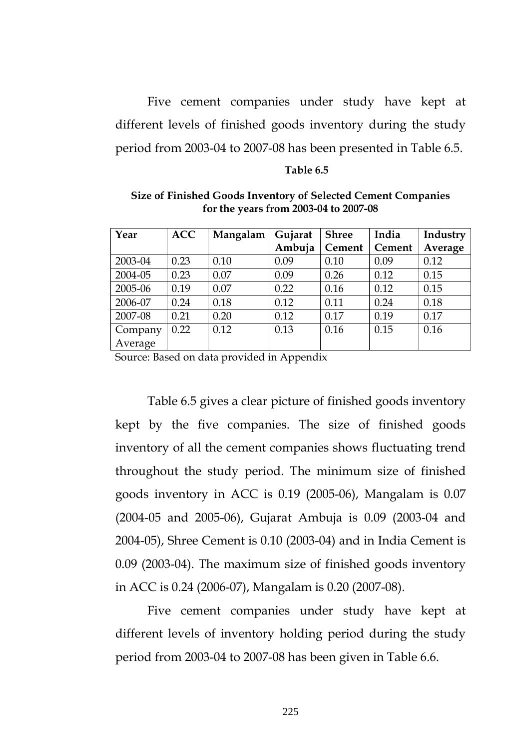Five cement companies under study have kept at different levels of finished goods inventory during the study period from 2003-04 to 2007-08 has been presented in Table 6.5.

#### **Table 6.5**

| Year    | <b>ACC</b> | Mangalam | Gujarat | <b>Shree</b> | India  | Industry |
|---------|------------|----------|---------|--------------|--------|----------|
|         |            |          | Ambuja  | Cement       | Cement | Average  |
| 2003-04 | 0.23       | 0.10     | 0.09    | 0.10         | 0.09   | 0.12     |
| 2004-05 | 0.23       | 0.07     | 0.09    | 0.26         | 0.12   | 0.15     |
| 2005-06 | 0.19       | 0.07     | 0.22    | 0.16         | 0.12   | 0.15     |
| 2006-07 | 0.24       | 0.18     | 0.12    | 0.11         | 0.24   | 0.18     |
| 2007-08 | 0.21       | 0.20     | 0.12    | 0.17         | 0.19   | 0.17     |
| Company | 0.22       | 0.12     | 0.13    | 0.16         | 0.15   | 0.16     |
| Average |            |          |         |              |        |          |

**Size of Finished Goods Inventory of Selected Cement Companies for the years from 2003-04 to 2007-08** 

Source: Based on data provided in Appendix

 Table 6.5 gives a clear picture of finished goods inventory kept by the five companies. The size of finished goods inventory of all the cement companies shows fluctuating trend throughout the study period. The minimum size of finished goods inventory in ACC is 0.19 (2005-06), Mangalam is 0.07 (2004-05 and 2005-06), Gujarat Ambuja is 0.09 (2003-04 and 2004-05), Shree Cement is 0.10 (2003-04) and in India Cement is 0.09 (2003-04). The maximum size of finished goods inventory in ACC is 0.24 (2006-07), Mangalam is 0.20 (2007-08).

 Five cement companies under study have kept at different levels of inventory holding period during the study period from 2003-04 to 2007-08 has been given in Table 6.6.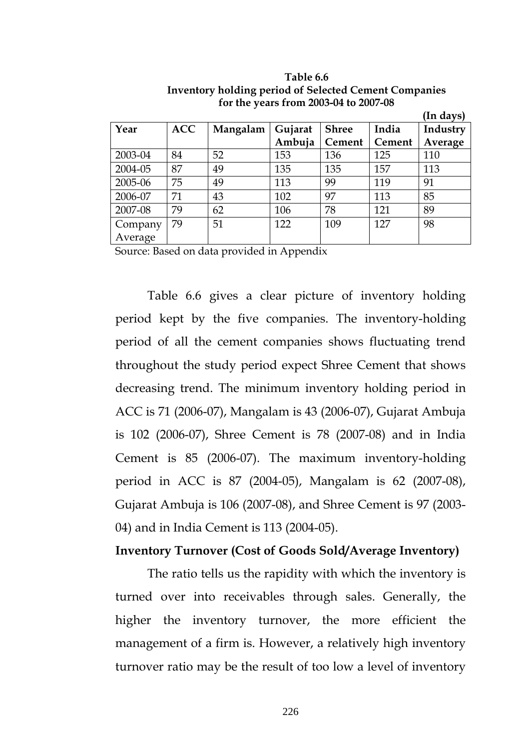|         |            |          |         |              |               | (In days) |
|---------|------------|----------|---------|--------------|---------------|-----------|
| Year    | <b>ACC</b> | Mangalam | Gujarat | <b>Shree</b> | India         | Industry  |
|         |            |          | Ambuja  | Cement       | <b>Cement</b> | Average   |
| 2003-04 | 84         | 52       | 153     | 136          | 125           | 110       |
| 2004-05 | 87         | 49       | 135     | 135          | 157           | 113       |
| 2005-06 | 75         | 49       | 113     | 99           | 119           | 91        |
| 2006-07 | 71         | 43       | 102     | 97           | 113           | 85        |
| 2007-08 | 79         | 62       | 106     | 78           | 121           | 89        |
| Company | 79         | 51       | 122     | 109          | 127           | 98        |
| Average |            |          |         |              |               |           |

**Table 6.6 Inventory holding period of Selected Cement Companies for the years from 2003-04 to 2007-08** 

Source: Based on data provided in Appendix

 Table 6.6 gives a clear picture of inventory holding period kept by the five companies. The inventory-holding period of all the cement companies shows fluctuating trend throughout the study period expect Shree Cement that shows decreasing trend. The minimum inventory holding period in ACC is 71 (2006-07), Mangalam is 43 (2006-07), Gujarat Ambuja is 102 (2006-07), Shree Cement is 78 (2007-08) and in India Cement is 85 (2006-07). The maximum inventory-holding period in ACC is 87 (2004-05), Mangalam is 62 (2007-08), Gujarat Ambuja is 106 (2007-08), and Shree Cement is 97 (2003- 04) and in India Cement is 113 (2004-05).

### **Inventory Turnover (Cost of Goods Sold/Average Inventory)**

 The ratio tells us the rapidity with which the inventory is turned over into receivables through sales. Generally, the higher the inventory turnover, the more efficient the management of a firm is. However, a relatively high inventory turnover ratio may be the result of too low a level of inventory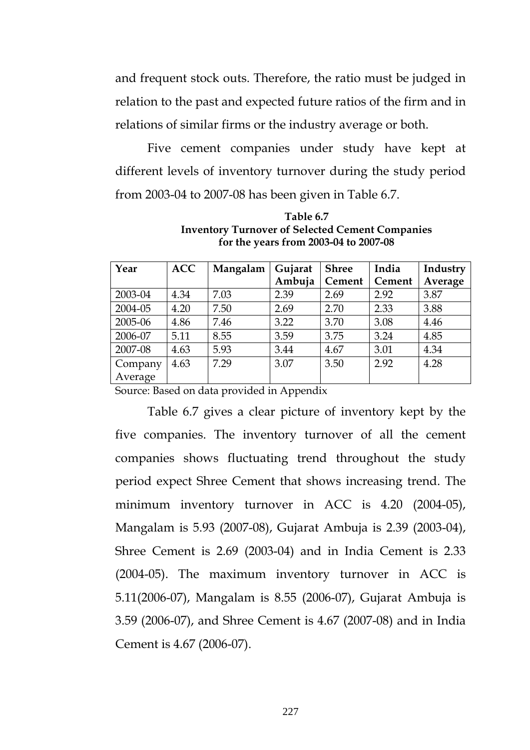and frequent stock outs. Therefore, the ratio must be judged in relation to the past and expected future ratios of the firm and in relations of similar firms or the industry average or both.

 Five cement companies under study have kept at different levels of inventory turnover during the study period from 2003-04 to 2007-08 has been given in Table 6.7.

| Year    | <b>ACC</b> | Mangalam | Gujarat | <b>Shree</b> | India  | Industry |
|---------|------------|----------|---------|--------------|--------|----------|
|         |            |          | Ambuja  | Cement       | Cement | Average  |
| 2003-04 | 4.34       | 7.03     | 2.39    | 2.69         | 2.92   | 3.87     |
| 2004-05 | 4.20       | 7.50     | 2.69    | 2.70         | 2.33   | 3.88     |
| 2005-06 | 4.86       | 7.46     | 3.22    | 3.70         | 3.08   | 4.46     |
| 2006-07 | 5.11       | 8.55     | 3.59    | 3.75         | 3.24   | 4.85     |
| 2007-08 | 4.63       | 5.93     | 3.44    | 4.67         | 3.01   | 4.34     |
| Company | 4.63       | 7.29     | 3.07    | 3.50         | 2.92   | 4.28     |
| Average |            |          |         |              |        |          |

**Table 6.7 Inventory Turnover of Selected Cement Companies for the years from 2003-04 to 2007-08** 

Source: Based on data provided in Appendix

 Table 6.7 gives a clear picture of inventory kept by the five companies. The inventory turnover of all the cement companies shows fluctuating trend throughout the study period expect Shree Cement that shows increasing trend. The minimum inventory turnover in ACC is 4.20 (2004-05), Mangalam is 5.93 (2007-08), Gujarat Ambuja is 2.39 (2003-04), Shree Cement is 2.69 (2003-04) and in India Cement is 2.33 (2004-05). The maximum inventory turnover in ACC is 5.11(2006-07), Mangalam is 8.55 (2006-07), Gujarat Ambuja is 3.59 (2006-07), and Shree Cement is 4.67 (2007-08) and in India Cement is 4.67 (2006-07).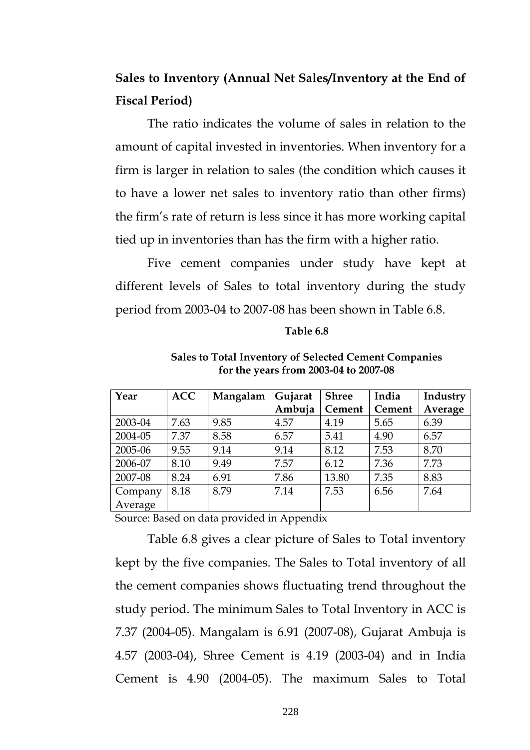## **Sales to Inventory (Annual Net Sales/Inventory at the End of Fiscal Period)**

 The ratio indicates the volume of sales in relation to the amount of capital invested in inventories. When inventory for a firm is larger in relation to sales (the condition which causes it to have a lower net sales to inventory ratio than other firms) the firm's rate of return is less since it has more working capital tied up in inventories than has the firm with a higher ratio.

 Five cement companies under study have kept at different levels of Sales to total inventory during the study period from 2003-04 to 2007-08 has been shown in Table 6.8.

#### **Table 6.8**

| Year    | <b>ACC</b> | Mangalam | Gujarat | <b>Shree</b> | India  | Industry |
|---------|------------|----------|---------|--------------|--------|----------|
|         |            |          | Ambuja  | Cement       | Cement | Average  |
| 2003-04 | 7.63       | 9.85     | 4.57    | 4.19         | 5.65   | 6.39     |
| 2004-05 | 7.37       | 8.58     | 6.57    | 5.41         | 4.90   | 6.57     |
| 2005-06 | 9.55       | 9.14     | 9.14    | 8.12         | 7.53   | 8.70     |
| 2006-07 | 8.10       | 9.49     | 7.57    | 6.12         | 7.36   | 7.73     |
| 2007-08 | 8.24       | 6.91     | 7.86    | 13.80        | 7.35   | 8.83     |
| Company | 8.18       | 8.79     | 7.14    | 7.53         | 6.56   | 7.64     |
| Average |            |          |         |              |        |          |

**Sales to Total Inventory of Selected Cement Companies for the years from 2003-04 to 2007-08** 

Source: Based on data provided in Appendix

 Table 6.8 gives a clear picture of Sales to Total inventory kept by the five companies. The Sales to Total inventory of all the cement companies shows fluctuating trend throughout the study period. The minimum Sales to Total Inventory in ACC is 7.37 (2004-05). Mangalam is 6.91 (2007-08), Gujarat Ambuja is 4.57 (2003-04), Shree Cement is 4.19 (2003-04) and in India Cement is 4.90 (2004-05). The maximum Sales to Total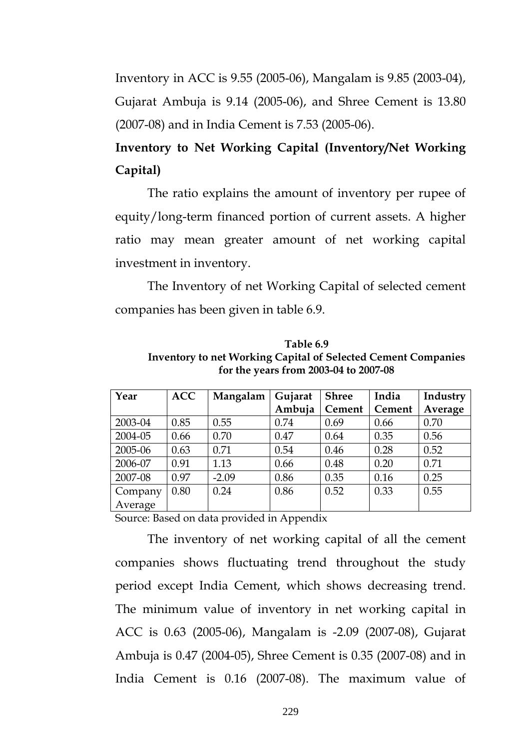Inventory in ACC is 9.55 (2005-06), Mangalam is 9.85 (2003-04), Gujarat Ambuja is 9.14 (2005-06), and Shree Cement is 13.80 (2007-08) and in India Cement is 7.53 (2005-06).

## **Inventory to Net Working Capital (Inventory/Net Working Capital)**

 The ratio explains the amount of inventory per rupee of equity/long-term financed portion of current assets. A higher ratio may mean greater amount of net working capital investment in inventory.

 The Inventory of net Working Capital of selected cement companies has been given in table 6.9.

| Table 6.9                                                            |
|----------------------------------------------------------------------|
| <b>Inventory to net Working Capital of Selected Cement Companies</b> |
| for the years from 2003-04 to 2007-08                                |

| Year    | <b>ACC</b> | Mangalam | Gujarat | <b>Shree</b> | India  | Industry |
|---------|------------|----------|---------|--------------|--------|----------|
|         |            |          | Ambuja  | Cement       | Cement | Average  |
| 2003-04 | 0.85       | 0.55     | 0.74    | 0.69         | 0.66   | 0.70     |
| 2004-05 | 0.66       | 0.70     | 0.47    | 0.64         | 0.35   | 0.56     |
| 2005-06 | 0.63       | 0.71     | 0.54    | 0.46         | 0.28   | 0.52     |
| 2006-07 | 0.91       | 1.13     | 0.66    | 0.48         | 0.20   | 0.71     |
| 2007-08 | 0.97       | $-2.09$  | 0.86    | 0.35         | 0.16   | 0.25     |
| Company | 0.80       | 0.24     | 0.86    | 0.52         | 0.33   | 0.55     |
| Average |            |          |         |              |        |          |

Source: Based on data provided in Appendix

 The inventory of net working capital of all the cement companies shows fluctuating trend throughout the study period except India Cement, which shows decreasing trend. The minimum value of inventory in net working capital in ACC is 0.63 (2005-06), Mangalam is -2.09 (2007-08), Gujarat Ambuja is 0.47 (2004-05), Shree Cement is 0.35 (2007-08) and in India Cement is 0.16 (2007-08). The maximum value of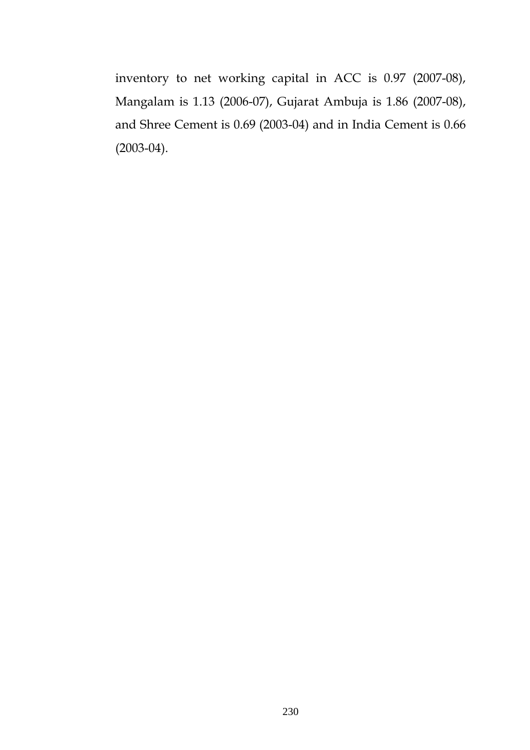inventory to net working capital in ACC is 0.97 (2007-08), Mangalam is 1.13 (2006-07), Gujarat Ambuja is 1.86 (2007-08), and Shree Cement is 0.69 (2003-04) and in India Cement is 0.66 (2003-04).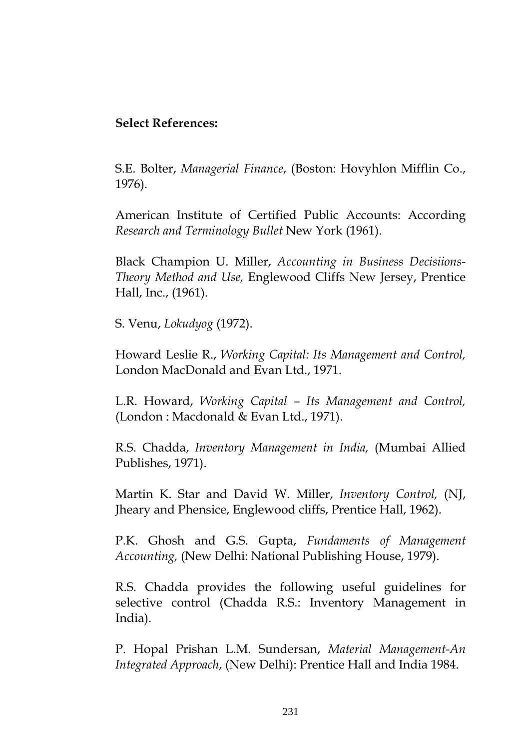## **Select References:**

S.E. Bolter, *Managerial Finance*, (Boston: Hovyhlon Mifflin Co., 1976).

American Institute of Certified Public Accounts: According *Research and Terminology Bullet* New York (1961).

Black Champion U. Miller, *Accounting in Business Decisiions-Theory Method and Use,* Englewood Cliffs New Jersey, Prentice Hall, Inc., (1961).

S. Venu, *Lokudyog* (1972).

Howard Leslie R., *Working Capital: Its Management and Control,* London MacDonald and Evan Ltd., 1971.

L.R. Howard, *Working Capital – Its Management and Control,* (London : Macdonald & Evan Ltd., 1971).

R.S. Chadda, *Inventory Management in India,* (Mumbai Allied Publishes, 1971).

Martin K. Star and David W. Miller, *Inventory Control,* (NJ, Jheary and Phensice, Englewood cliffs, Prentice Hall, 1962).

P.K. Ghosh and G.S. Gupta, *Fundaments of Management Accounting,* (New Delhi: National Publishing House, 1979).

R.S. Chadda provides the following useful guidelines for selective control (Chadda R.S.: Inventory Management in India).

P. Hopal Prishan L.M. Sundersan, *Material Management-An Integrated Approach*, (New Delhi): Prentice Hall and India 1984.